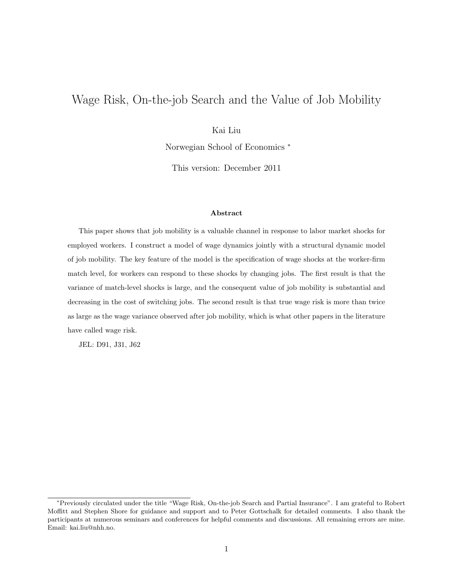# Wage Risk, On-the-job Search and the Value of Job Mobility

### Kai Liu

Norwegian School of Economics <sup>∗</sup>

This version: December 2011

#### Abstract

This paper shows that job mobility is a valuable channel in response to labor market shocks for employed workers. I construct a model of wage dynamics jointly with a structural dynamic model of job mobility. The key feature of the model is the specification of wage shocks at the worker-firm match level, for workers can respond to these shocks by changing jobs. The first result is that the variance of match-level shocks is large, and the consequent value of job mobility is substantial and decreasing in the cost of switching jobs. The second result is that true wage risk is more than twice as large as the wage variance observed after job mobility, which is what other papers in the literature have called wage risk.

JEL: D91, J31, J62

<sup>∗</sup>Previously circulated under the title "Wage Risk, On-the-job Search and Partial Insurance". I am grateful to Robert Moffitt and Stephen Shore for guidance and support and to Peter Gottschalk for detailed comments. I also thank the participants at numerous seminars and conferences for helpful comments and discussions. All remaining errors are mine. Email: kai.liu@nhh.no.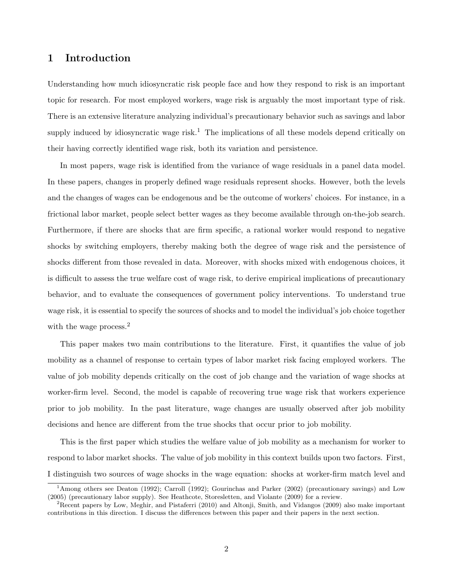# 1 Introduction

Understanding how much idiosyncratic risk people face and how they respond to risk is an important topic for research. For most employed workers, wage risk is arguably the most important type of risk. There is an extensive literature analyzing individual's precautionary behavior such as savings and labor supply induced by idiosyncratic wage risk.<sup>1</sup> The implications of all these models depend critically on their having correctly identified wage risk, both its variation and persistence.

In most papers, wage risk is identified from the variance of wage residuals in a panel data model. In these papers, changes in properly defined wage residuals represent shocks. However, both the levels and the changes of wages can be endogenous and be the outcome of workers' choices. For instance, in a frictional labor market, people select better wages as they become available through on-the-job search. Furthermore, if there are shocks that are firm specific, a rational worker would respond to negative shocks by switching employers, thereby making both the degree of wage risk and the persistence of shocks different from those revealed in data. Moreover, with shocks mixed with endogenous choices, it is difficult to assess the true welfare cost of wage risk, to derive empirical implications of precautionary behavior, and to evaluate the consequences of government policy interventions. To understand true wage risk, it is essential to specify the sources of shocks and to model the individual's job choice together with the wage process.<sup>2</sup>

This paper makes two main contributions to the literature. First, it quantifies the value of job mobility as a channel of response to certain types of labor market risk facing employed workers. The value of job mobility depends critically on the cost of job change and the variation of wage shocks at worker-firm level. Second, the model is capable of recovering true wage risk that workers experience prior to job mobility. In the past literature, wage changes are usually observed after job mobility decisions and hence are different from the true shocks that occur prior to job mobility.

This is the first paper which studies the welfare value of job mobility as a mechanism for worker to respond to labor market shocks. The value of job mobility in this context builds upon two factors. First, I distinguish two sources of wage shocks in the wage equation: shocks at worker-firm match level and

<sup>1</sup>Among others see Deaton (1992); Carroll (1992); Gourinchas and Parker (2002) (precautionary savings) and Low (2005) (precautionary labor supply). See Heathcote, Storesletten, and Violante (2009) for a review.

<sup>2</sup>Recent papers by Low, Meghir, and Pistaferri (2010) and Altonji, Smith, and Vidangos (2009) also make important contributions in this direction. I discuss the differences between this paper and their papers in the next section.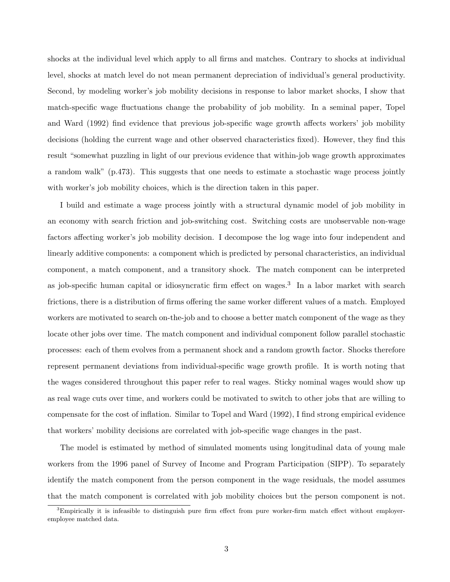shocks at the individual level which apply to all firms and matches. Contrary to shocks at individual level, shocks at match level do not mean permanent depreciation of individual's general productivity. Second, by modeling worker's job mobility decisions in response to labor market shocks, I show that match-specific wage fluctuations change the probability of job mobility. In a seminal paper, Topel and Ward (1992) find evidence that previous job-specific wage growth affects workers' job mobility decisions (holding the current wage and other observed characteristics fixed). However, they find this result "somewhat puzzling in light of our previous evidence that within-job wage growth approximates a random walk" (p.473). This suggests that one needs to estimate a stochastic wage process jointly with worker's job mobility choices, which is the direction taken in this paper.

I build and estimate a wage process jointly with a structural dynamic model of job mobility in an economy with search friction and job-switching cost. Switching costs are unobservable non-wage factors affecting worker's job mobility decision. I decompose the log wage into four independent and linearly additive components: a component which is predicted by personal characteristics, an individual component, a match component, and a transitory shock. The match component can be interpreted as job-specific human capital or idiosyncratic firm effect on wages.<sup>3</sup> In a labor market with search frictions, there is a distribution of firms offering the same worker different values of a match. Employed workers are motivated to search on-the-job and to choose a better match component of the wage as they locate other jobs over time. The match component and individual component follow parallel stochastic processes: each of them evolves from a permanent shock and a random growth factor. Shocks therefore represent permanent deviations from individual-specific wage growth profile. It is worth noting that the wages considered throughout this paper refer to real wages. Sticky nominal wages would show up as real wage cuts over time, and workers could be motivated to switch to other jobs that are willing to compensate for the cost of inflation. Similar to Topel and Ward (1992), I find strong empirical evidence that workers' mobility decisions are correlated with job-specific wage changes in the past.

The model is estimated by method of simulated moments using longitudinal data of young male workers from the 1996 panel of Survey of Income and Program Participation (SIPP). To separately identify the match component from the person component in the wage residuals, the model assumes that the match component is correlated with job mobility choices but the person component is not.

<sup>&</sup>lt;sup>3</sup>Empirically it is infeasible to distinguish pure firm effect from pure worker-firm match effect without employeremployee matched data.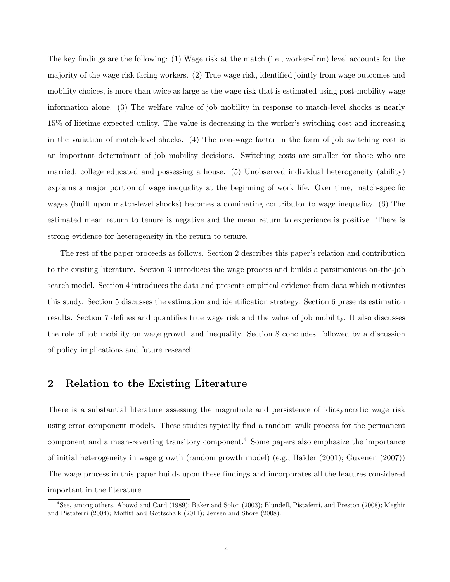The key findings are the following: (1) Wage risk at the match (i.e., worker-firm) level accounts for the majority of the wage risk facing workers. (2) True wage risk, identified jointly from wage outcomes and mobility choices, is more than twice as large as the wage risk that is estimated using post-mobility wage information alone. (3) The welfare value of job mobility in response to match-level shocks is nearly 15% of lifetime expected utility. The value is decreasing in the worker's switching cost and increasing in the variation of match-level shocks. (4) The non-wage factor in the form of job switching cost is an important determinant of job mobility decisions. Switching costs are smaller for those who are married, college educated and possessing a house. (5) Unobserved individual heterogeneity (ability) explains a major portion of wage inequality at the beginning of work life. Over time, match-specific wages (built upon match-level shocks) becomes a dominating contributor to wage inequality. (6) The estimated mean return to tenure is negative and the mean return to experience is positive. There is strong evidence for heterogeneity in the return to tenure.

The rest of the paper proceeds as follows. Section 2 describes this paper's relation and contribution to the existing literature. Section 3 introduces the wage process and builds a parsimonious on-the-job search model. Section 4 introduces the data and presents empirical evidence from data which motivates this study. Section 5 discusses the estimation and identification strategy. Section 6 presents estimation results. Section 7 defines and quantifies true wage risk and the value of job mobility. It also discusses the role of job mobility on wage growth and inequality. Section 8 concludes, followed by a discussion of policy implications and future research.

### 2 Relation to the Existing Literature

There is a substantial literature assessing the magnitude and persistence of idiosyncratic wage risk using error component models. These studies typically find a random walk process for the permanent component and a mean-reverting transitory component.<sup>4</sup> Some papers also emphasize the importance of initial heterogeneity in wage growth (random growth model) (e.g., Haider (2001); Guvenen (2007)) The wage process in this paper builds upon these findings and incorporates all the features considered important in the literature.

<sup>4</sup>See, among others, Abowd and Card (1989); Baker and Solon (2003); Blundell, Pistaferri, and Preston (2008); Meghir and Pistaferri (2004); Moffitt and Gottschalk (2011); Jensen and Shore (2008).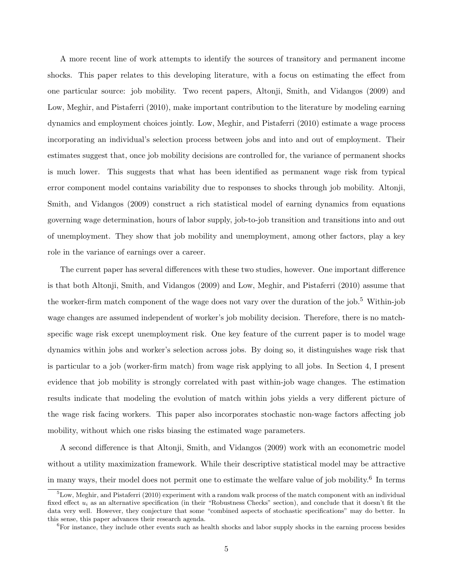A more recent line of work attempts to identify the sources of transitory and permanent income shocks. This paper relates to this developing literature, with a focus on estimating the effect from one particular source: job mobility. Two recent papers, Altonji, Smith, and Vidangos (2009) and Low, Meghir, and Pistaferri (2010), make important contribution to the literature by modeling earning dynamics and employment choices jointly. Low, Meghir, and Pistaferri (2010) estimate a wage process incorporating an individual's selection process between jobs and into and out of employment. Their estimates suggest that, once job mobility decisions are controlled for, the variance of permanent shocks is much lower. This suggests that what has been identified as permanent wage risk from typical error component model contains variability due to responses to shocks through job mobility. Altonji, Smith, and Vidangos (2009) construct a rich statistical model of earning dynamics from equations governing wage determination, hours of labor supply, job-to-job transition and transitions into and out of unemployment. They show that job mobility and unemployment, among other factors, play a key role in the variance of earnings over a career.

The current paper has several differences with these two studies, however. One important difference is that both Altonji, Smith, and Vidangos (2009) and Low, Meghir, and Pistaferri (2010) assume that the worker-firm match component of the wage does not vary over the duration of the job.<sup>5</sup> Within-job wage changes are assumed independent of worker's job mobility decision. Therefore, there is no matchspecific wage risk except unemployment risk. One key feature of the current paper is to model wage dynamics within jobs and worker's selection across jobs. By doing so, it distinguishes wage risk that is particular to a job (worker-firm match) from wage risk applying to all jobs. In Section 4, I present evidence that job mobility is strongly correlated with past within-job wage changes. The estimation results indicate that modeling the evolution of match within jobs yields a very different picture of the wage risk facing workers. This paper also incorporates stochastic non-wage factors affecting job mobility, without which one risks biasing the estimated wage parameters.

A second difference is that Altonji, Smith, and Vidangos (2009) work with an econometric model without a utility maximization framework. While their descriptive statistical model may be attractive in many ways, their model does not permit one to estimate the welfare value of job mobility.<sup>6</sup> In terms

 ${}^{5}$ Low, Meghir, and Pistaferri (2010) experiment with a random walk process of the match component with an individual fixed effect  $u_i$  as an alternative specification (in their "Robustness Checks" section), and conclude that it doesn't fit the data very well. However, they conjecture that some "combined aspects of stochastic specifications" may do better. In this sense, this paper advances their research agenda.

<sup>&</sup>lt;sup>6</sup>For instance, they include other events such as health shocks and labor supply shocks in the earning process besides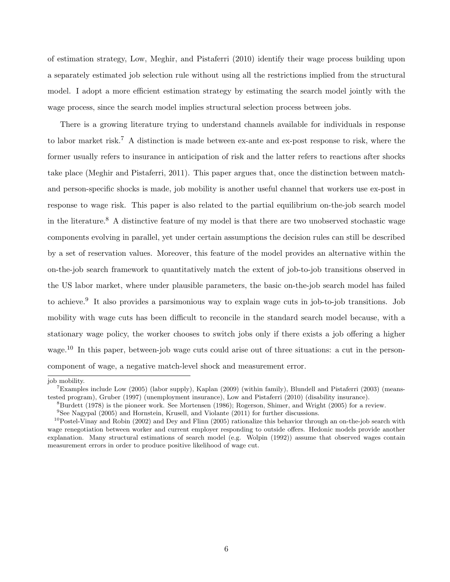of estimation strategy, Low, Meghir, and Pistaferri (2010) identify their wage process building upon a separately estimated job selection rule without using all the restrictions implied from the structural model. I adopt a more efficient estimation strategy by estimating the search model jointly with the wage process, since the search model implies structural selection process between jobs.

There is a growing literature trying to understand channels available for individuals in response to labor market risk.<sup>7</sup> A distinction is made between ex-ante and ex-post response to risk, where the former usually refers to insurance in anticipation of risk and the latter refers to reactions after shocks take place (Meghir and Pistaferri, 2011). This paper argues that, once the distinction between matchand person-specific shocks is made, job mobility is another useful channel that workers use ex-post in response to wage risk. This paper is also related to the partial equilibrium on-the-job search model in the literature.<sup>8</sup> A distinctive feature of my model is that there are two unobserved stochastic wage components evolving in parallel, yet under certain assumptions the decision rules can still be described by a set of reservation values. Moreover, this feature of the model provides an alternative within the on-the-job search framework to quantitatively match the extent of job-to-job transitions observed in the US labor market, where under plausible parameters, the basic on-the-job search model has failed to achieve.<sup>9</sup> It also provides a parsimonious way to explain wage cuts in job-to-job transitions. Job mobility with wage cuts has been difficult to reconcile in the standard search model because, with a stationary wage policy, the worker chooses to switch jobs only if there exists a job offering a higher wage.<sup>10</sup> In this paper, between-job wage cuts could arise out of three situations: a cut in the personcomponent of wage, a negative match-level shock and measurement error.

job mobility.

 $7$ Examples include Low (2005) (labor supply), Kaplan (2009) (within family), Blundell and Pistaferri (2003) (meanstested program), Gruber (1997) (unemployment insurance), Low and Pistaferri (2010) (disability insurance).

 ${}^{8}$ Burdett (1978) is the pioneer work. See Mortensen (1986); Rogerson, Shimer, and Wright (2005) for a review.

<sup>9</sup>See Nagypal (2005) and Hornstein, Krusell, and Violante (2011) for further discussions.

 $^{10}$ Postel-Vinay and Robin (2002) and Dey and Flinn (2005) rationalize this behavior through an on-the-job search with wage renegotiation between worker and current employer responding to outside offers. Hedonic models provide another explanation. Many structural estimations of search model (e.g. Wolpin (1992)) assume that observed wages contain measurement errors in order to produce positive likelihood of wage cut.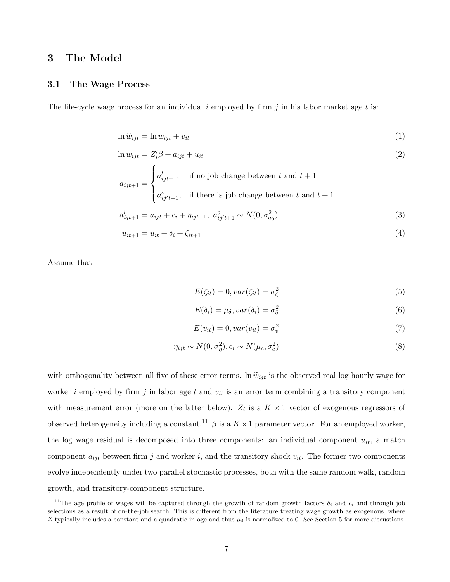# 3 The Model

### 3.1 The Wage Process

The life-cycle wage process for an individual i employed by firm j in his labor market age t is:

$$
\ln \widetilde{w}_{ijt} = \ln w_{ijt} + v_{it} \tag{1}
$$

$$
\ln w_{ijt} = Z_i'\beta + a_{ijt} + u_{it}
$$
  

$$
\int a_{ijt+1}^l, \quad \text{if no job change between } t \text{ and } t+1
$$
 (2)

$$
a_{ijt+1} = \begin{cases} a_{ijt+1}^l, & \text{if no job change between } t \text{ and } t+1\\ a_{ij't+1}^o, & \text{if there is job change between } t \text{ and } t+1 \end{cases}
$$

$$
a_{ijt+1}^l = a_{ijt} + c_i + \eta_{ijt+1}, \ a_{ij't+1}^o \sim N(0, \sigma_{a_0}^2)
$$
\n(3)

$$
u_{it+1} = u_{it} + \delta_i + \zeta_{it+1}
$$
\n(4)

Assume that

$$
E(\zeta_{it}) = 0, var(\zeta_{it}) = \sigma_{\zeta}^2
$$
\n(5)

$$
E(\delta_i) = \mu_\delta, var(\delta_i) = \sigma_\delta^2 \tag{6}
$$

$$
E(v_{it}) = 0, var(v_{it}) = \sigma_v^2
$$
\n<sup>(7)</sup>

$$
\eta_{ijt} \sim N(0, \sigma_{\eta}^2), c_i \sim N(\mu_c, \sigma_c^2)
$$
\n(8)

with orthogonality between all five of these error terms. In  $\tilde{w}_{it}$  is the observed real log hourly wage for worker i employed by firm j in labor age t and  $v_{it}$  is an error term combining a transitory component with measurement error (more on the latter below).  $Z_i$  is a  $K \times 1$  vector of exogenous regressors of observed heterogeneity including a constant.<sup>11</sup>  $\beta$  is a  $K \times 1$  parameter vector. For an employed worker, the log wage residual is decomposed into three components: an individual component  $u_{it}$ , a match component  $a_{ijt}$  between firm j and worker i, and the transitory shock  $v_{it}$ . The former two components evolve independently under two parallel stochastic processes, both with the same random walk, random growth, and transitory-component structure.

<sup>&</sup>lt;sup>11</sup>The age profile of wages will be captured through the growth of random growth factors  $\delta_i$  and  $c_i$  and through job selections as a result of on-the-job search. This is different from the literature treating wage growth as exogenous, where Z typically includes a constant and a quadratic in age and thus  $\mu_{\delta}$  is normalized to 0. See Section 5 for more discussions.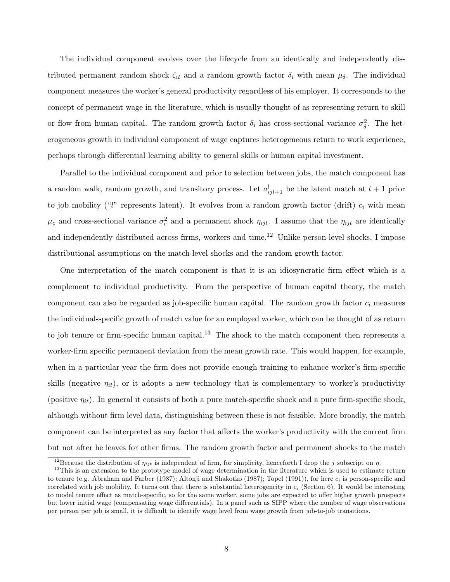The individual component evolves over the lifecycle from an identically and independently distributed permanent random shock  $\zeta_{it}$  and a random growth factor  $\delta_i$  with mean  $\mu_{\delta}$ . The individual component measures the worker's general productivity regardless of his employer. It corresponds to the concept of permanent wage in the literature, which is usually thought of as representing return to skill or flow from human capital. The random growth factor  $\delta_i$  has cross-sectional variance  $\sigma_{\delta}^2$ . The heterogeneous growth in individual component of wage captures heterogeneous return to work experience, perhaps through differential learning ability to general skills or human capital investment.

Parallel to the individual component and prior to selection between jobs, the match component has a random walk, random growth, and transitory process. Let  $a_{ijt+1}^l$  be the latent match at  $t+1$  prior to job mobility ("l" represents latent). It evolves from a random growth factor (drift)  $c_i$  with mean  $\mu_c$  and cross-sectional variance  $\sigma_c^2$  and a permanent shock  $\eta_{ijt}$ . I assume that the  $\eta_{ijt}$  are identically and independently distributed across firms, workers and time.<sup>12</sup> Unlike person-level shocks, I impose distributional assumptions on the match-level shocks and the random growth factor.

One interpretation of the match component is that it is an idiosyncratic firm effect which is a complement to individual productivity. From the perspective of human capital theory, the match component can also be regarded as job-specific human capital. The random growth factor  $c_i$  measures the individual-specific growth of match value for an employed worker, which can be thought of as return to job tenure or firm-specific human capital.<sup>13</sup> The shock to the match component then represents a worker-firm specific permanent deviation from the mean growth rate. This would happen, for example, when in a particular year the firm does not provide enough training to enhance worker's firm-specific skills (negative  $\eta_{it}$ ), or it adopts a new technology that is complementary to worker's productivity (positive  $\eta_{it}$ ). In general it consists of both a pure match-specific shock and a pure firm-specific shock, although without firm level data, distinguishing between these is not feasible. More broadly, the match component can be interpreted as any factor that affects the worker's productivity with the current firm but not after he leaves for other firms. The random growth factor and permanent shocks to the match

<sup>&</sup>lt;sup>12</sup>Because the distribution of  $\eta_{ijt}$  is independent of firm, for simplicity, henceforth I drop the j subscript on  $\eta$ .

<sup>&</sup>lt;sup>13</sup>This is an extension to the prototype model of wage determination in the literature which is used to estimate return to tenure (e.g. Abraham and Farber (1987); Altonji and Shakotko (1987); Topel (1991)), for here  $c_i$  is person-specific and correlated with job mobility. It turns out that there is substantial heterogeneity in  $c_i$  (Section 6). It would be interesting to model tenure effect as match-specific, so for the same worker, some jobs are expected to offer higher growth prospects but lower initial wage (compensating wage differentials). In a panel such as SIPP where the number of wage observations per person per job is small, it is difficult to identify wage level from wage growth from job-to-job transitions.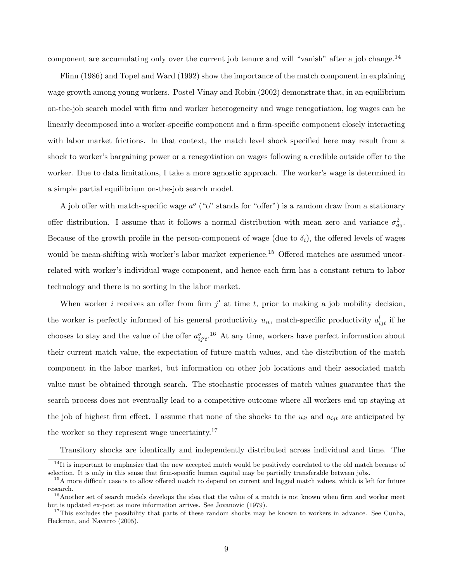component are accumulating only over the current job tenure and will "vanish" after a job change.<sup>14</sup>

Flinn (1986) and Topel and Ward (1992) show the importance of the match component in explaining wage growth among young workers. Postel-Vinay and Robin (2002) demonstrate that, in an equilibrium on-the-job search model with firm and worker heterogeneity and wage renegotiation, log wages can be linearly decomposed into a worker-specific component and a firm-specific component closely interacting with labor market frictions. In that context, the match level shock specified here may result from a shock to worker's bargaining power or a renegotiation on wages following a credible outside offer to the worker. Due to data limitations, I take a more agnostic approach. The worker's wage is determined in a simple partial equilibrium on-the-job search model.

A job offer with match-specific wage  $a^{\circ}$  ("o" stands for "offer") is a random draw from a stationary offer distribution. I assume that it follows a normal distribution with mean zero and variance  $\sigma_{a_0}^2$ . Because of the growth profile in the person-component of wage (due to  $\delta_i$ ), the offered levels of wages would be mean-shifting with worker's labor market experience.<sup>15</sup> Offered matches are assumed uncorrelated with worker's individual wage component, and hence each firm has a constant return to labor technology and there is no sorting in the labor market.

When worker *i* receives an offer from firm  $j'$  at time t, prior to making a job mobility decision, the worker is perfectly informed of his general productivity  $u_{it}$ , match-specific productivity  $a_{ijt}^l$  if he chooses to stay and the value of the offer  $a_{ij't}^o$ .<sup>16</sup> At any time, workers have perfect information about their current match value, the expectation of future match values, and the distribution of the match component in the labor market, but information on other job locations and their associated match value must be obtained through search. The stochastic processes of match values guarantee that the search process does not eventually lead to a competitive outcome where all workers end up staying at the job of highest firm effect. I assume that none of the shocks to the  $u_{it}$  and  $a_{ijt}$  are anticipated by the worker so they represent wage uncertainty.<sup>17</sup>

Transitory shocks are identically and independently distributed across individual and time. The

<sup>&</sup>lt;sup>14</sup>It is important to emphasize that the new accepted match would be positively correlated to the old match because of selection. It is only in this sense that firm-specific human capital may be partially transferable between jobs.

<sup>&</sup>lt;sup>15</sup>A more difficult case is to allow offered match to depend on current and lagged match values, which is left for future research.

<sup>&</sup>lt;sup>16</sup>Another set of search models develops the idea that the value of a match is not known when firm and worker meet but is updated ex-post as more information arrives. See Jovanovic (1979).

 $17$ This excludes the possibility that parts of these random shocks may be known to workers in advance. See Cunha, Heckman, and Navarro (2005).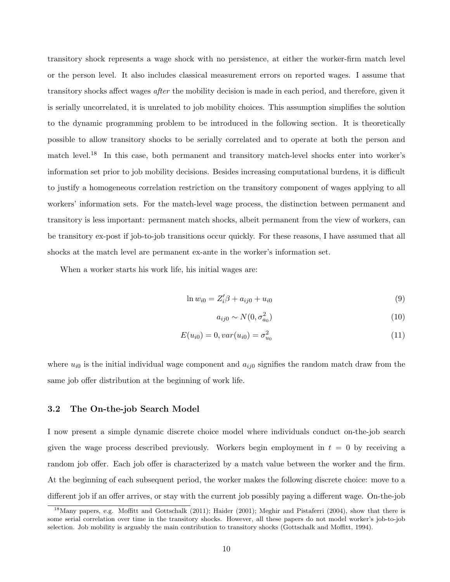transitory shock represents a wage shock with no persistence, at either the worker-firm match level or the person level. It also includes classical measurement errors on reported wages. I assume that transitory shocks affect wages after the mobility decision is made in each period, and therefore, given it is serially uncorrelated, it is unrelated to job mobility choices. This assumption simplifies the solution to the dynamic programming problem to be introduced in the following section. It is theoretically possible to allow transitory shocks to be serially correlated and to operate at both the person and match level.<sup>18</sup> In this case, both permanent and transitory match-level shocks enter into worker's information set prior to job mobility decisions. Besides increasing computational burdens, it is difficult to justify a homogeneous correlation restriction on the transitory component of wages applying to all workers' information sets. For the match-level wage process, the distinction between permanent and transitory is less important: permanent match shocks, albeit permanent from the view of workers, can be transitory ex-post if job-to-job transitions occur quickly. For these reasons, I have assumed that all shocks at the match level are permanent ex-ante in the worker's information set.

When a worker starts his work life, his initial wages are:

$$
\ln w_{i0} = Z_i' \beta + a_{ij0} + u_{i0} \tag{9}
$$

$$
a_{ij0} \sim N(0, \sigma_{a_0}^2) \tag{10}
$$

$$
E(u_{i0}) = 0, var(u_{i0}) = \sigma_{u_0}^2
$$
\n(11)

where  $u_{i0}$  is the initial individual wage component and  $a_{ij0}$  signifies the random match draw from the same job offer distribution at the beginning of work life.

### 3.2 The On-the-job Search Model

I now present a simple dynamic discrete choice model where individuals conduct on-the-job search given the wage process described previously. Workers begin employment in  $t = 0$  by receiving a random job offer. Each job offer is characterized by a match value between the worker and the firm. At the beginning of each subsequent period, the worker makes the following discrete choice: move to a different job if an offer arrives, or stay with the current job possibly paying a different wage. On-the-job

<sup>&</sup>lt;sup>18</sup>Many papers, e.g. Moffitt and Gottschalk (2011); Haider (2001); Meghir and Pistaferri (2004), show that there is some serial correlation over time in the transitory shocks. However, all these papers do not model worker's job-to-job selection. Job mobility is arguably the main contribution to transitory shocks (Gottschalk and Moffitt, 1994).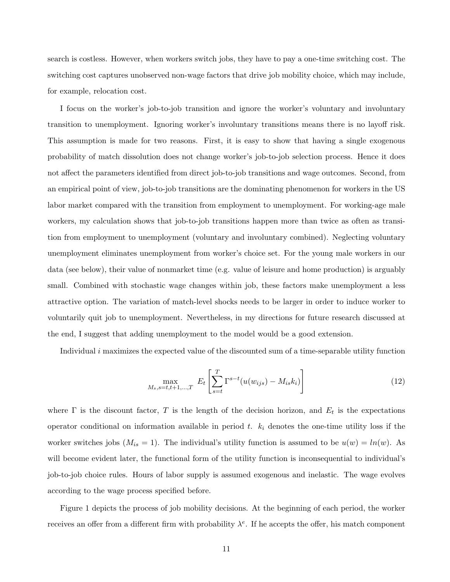search is costless. However, when workers switch jobs, they have to pay a one-time switching cost. The switching cost captures unobserved non-wage factors that drive job mobility choice, which may include, for example, relocation cost.

I focus on the worker's job-to-job transition and ignore the worker's voluntary and involuntary transition to unemployment. Ignoring worker's involuntary transitions means there is no layoff risk. This assumption is made for two reasons. First, it is easy to show that having a single exogenous probability of match dissolution does not change worker's job-to-job selection process. Hence it does not affect the parameters identified from direct job-to-job transitions and wage outcomes. Second, from an empirical point of view, job-to-job transitions are the dominating phenomenon for workers in the US labor market compared with the transition from employment to unemployment. For working-age male workers, my calculation shows that job-to-job transitions happen more than twice as often as transition from employment to unemployment (voluntary and involuntary combined). Neglecting voluntary unemployment eliminates unemployment from worker's choice set. For the young male workers in our data (see below), their value of nonmarket time (e.g. value of leisure and home production) is arguably small. Combined with stochastic wage changes within job, these factors make unemployment a less attractive option. The variation of match-level shocks needs to be larger in order to induce worker to voluntarily quit job to unemployment. Nevertheless, in my directions for future research discussed at the end, I suggest that adding unemployment to the model would be a good extension.

Individual  $i$  maximizes the expected value of the discounted sum of a time-separable utility function

$$
\max_{M_s, s=t, t+1, ..., T} \ E_t \left[ \sum_{s=t}^{T} \Gamma^{s-t}(u(w_{ijs}) - M_{is}k_i) \right]
$$
 (12)

where  $\Gamma$  is the discount factor, T is the length of the decision horizon, and  $E_t$  is the expectations operator conditional on information available in period t.  $k_i$  denotes the one-time utility loss if the worker switches jobs  $(M_{is} = 1)$ . The individual's utility function is assumed to be  $u(w) = ln(w)$ . As will become evident later, the functional form of the utility function is inconsequential to individual's job-to-job choice rules. Hours of labor supply is assumed exogenous and inelastic. The wage evolves according to the wage process specified before.

Figure 1 depicts the process of job mobility decisions. At the beginning of each period, the worker receives an offer from a different firm with probability  $\lambda^e$ . If he accepts the offer, his match component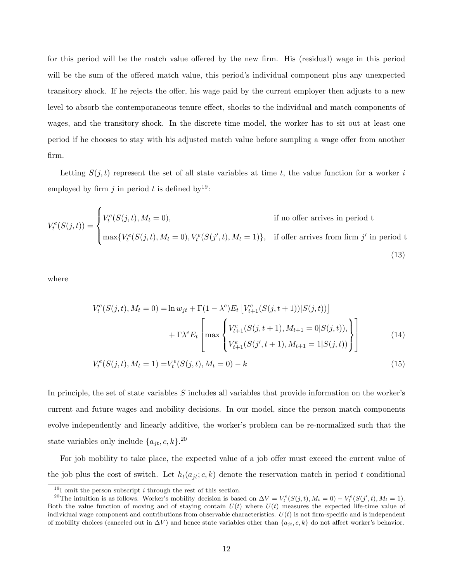for this period will be the match value offered by the new firm. His (residual) wage in this period will be the sum of the offered match value, this period's individual component plus any unexpected transitory shock. If he rejects the offer, his wage paid by the current employer then adjusts to a new level to absorb the contemporaneous tenure effect, shocks to the individual and match components of wages, and the transitory shock. In the discrete time model, the worker has to sit out at least one period if he chooses to stay with his adjusted match value before sampling a wage offer from another firm.

Letting  $S(j, t)$  represent the set of all state variables at time t, the value function for a worker i employed by firm j in period t is defined by  $19$ :

$$
V_t^e(S(j,t)) = \begin{cases} V_t^e(S(j,t), M_t = 0), & \text{if no offer arrives in period t} \\ \max\{V_t^e(S(j,t), M_t = 0), V_t^e(S(j',t), M_t = 1)\}, & \text{if offer arrives from firm } j' \text{ in period t} \end{cases}
$$
(13)

where

$$
V_t^e(S(j,t), M_t = 0) = \ln w_{jt} + \Gamma(1 - \lambda^e) E_t \left[ V_{t+1}^e(S(j,t+1)) | S(j,t)) \right]
$$
  
+ 
$$
\Gamma \lambda^e E_t \left[ \max \left\{ V_{t+1}^e(S(j,t+1), M_{t+1} = 0 | S(j,t)) \right\} \right]
$$
  

$$
V_{t+1}^e(S(j', t+1), M_{t+1} = 1 | S(j,t)) \right\}
$$
 (14)

$$
V_t^e(S(j, t), M_t = 1) = V_t^e(S(j, t), M_t = 0) - k
$$
\n(15)

In principle, the set of state variables S includes all variables that provide information on the worker's current and future wages and mobility decisions. In our model, since the person match components evolve independently and linearly additive, the worker's problem can be re-normalized such that the state variables only include  $\{a_{jt}, c, k\}$ .<sup>20</sup>

For job mobility to take place, the expected value of a job offer must exceed the current value of the job plus the cost of switch. Let  $h_t(a_{jt}; c, k)$  denote the reservation match in period t conditional

 $19I$  omit the person subscript *i* through the rest of this section.

<sup>&</sup>lt;sup>20</sup>The intuition is as follows. Worker's mobility decision is based on  $\Delta V = V_t^e(S(j, t), M_t = 0) - V_t^e(S(j', t), M_t = 1)$ . Both the value function of moving and of staying contain  $U(t)$  where  $U(t)$  measures the expected life-time value of individual wage component and contributions from observable characteristics.  $U(t)$  is not firm-specific and is independent of mobility choices (canceled out in  $\Delta V$ ) and hence state variables other than  $\{a_{jt}, c, k\}$  do not affect worker's behavior.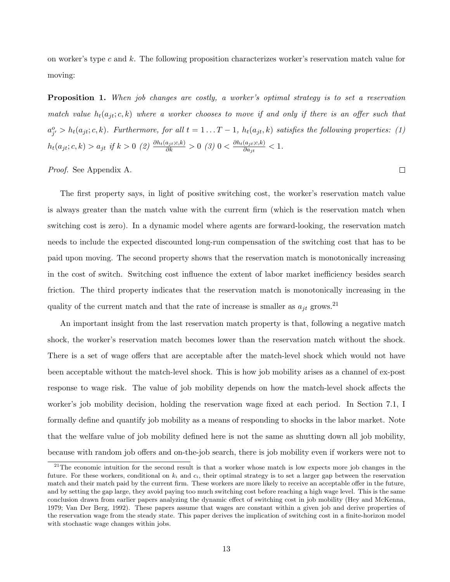on worker's type c and  $k$ . The following proposition characterizes worker's reservation match value for moving:

**Proposition 1.** When job changes are costly, a worker's optimal strategy is to set a reservation match value  $h_t(a_{jt}; c, k)$  where a worker chooses to move if and only if there is an offer such that  $a_{j'}^o > h_t(a_{jt}; c, k)$ . Furthermore, for all  $t = 1...T-1$ ,  $h_t(a_{jt}, k)$  satisfies the following properties: (1)  $h_t(a_{jt}; c, k) > a_{jt}$  if  $k > 0$  (2)  $\frac{\partial h_t(a_{jt}; c, k)}{\partial k} > 0$  (3)  $0 < \frac{\partial h_t(a_{jt}; c, k)}{\partial a_{jt}}$  $\frac{(a_{jt},c,\kappa)}{\partial a_{jt}} < 1.$ 

 $\Box$ 

Proof. See Appendix A.

The first property says, in light of positive switching cost, the worker's reservation match value is always greater than the match value with the current firm (which is the reservation match when switching cost is zero). In a dynamic model where agents are forward-looking, the reservation match needs to include the expected discounted long-run compensation of the switching cost that has to be paid upon moving. The second property shows that the reservation match is monotonically increasing in the cost of switch. Switching cost influence the extent of labor market inefficiency besides search friction. The third property indicates that the reservation match is monotonically increasing in the quality of the current match and that the rate of increase is smaller as  $a_{jt}$  grows.<sup>21</sup>

An important insight from the last reservation match property is that, following a negative match shock, the worker's reservation match becomes lower than the reservation match without the shock. There is a set of wage offers that are acceptable after the match-level shock which would not have been acceptable without the match-level shock. This is how job mobility arises as a channel of ex-post response to wage risk. The value of job mobility depends on how the match-level shock affects the worker's job mobility decision, holding the reservation wage fixed at each period. In Section 7.1, I formally define and quantify job mobility as a means of responding to shocks in the labor market. Note that the welfare value of job mobility defined here is not the same as shutting down all job mobility, because with random job offers and on-the-job search, there is job mobility even if workers were not to

 $21$ The economic intuition for the second result is that a worker whose match is low expects more job changes in the future. For these workers, conditional on  $k_i$  and  $c_i$ , their optimal strategy is to set a larger gap between the reservation match and their match paid by the current firm. These workers are more likely to receive an acceptable offer in the future, and by setting the gap large, they avoid paying too much switching cost before reaching a high wage level. This is the same conclusion drawn from earlier papers analyzing the dynamic effect of switching cost in job mobility (Hey and McKenna, 1979; Van Der Berg, 1992). These papers assume that wages are constant within a given job and derive properties of the reservation wage from the steady state. This paper derives the implication of switching cost in a finite-horizon model with stochastic wage changes within jobs.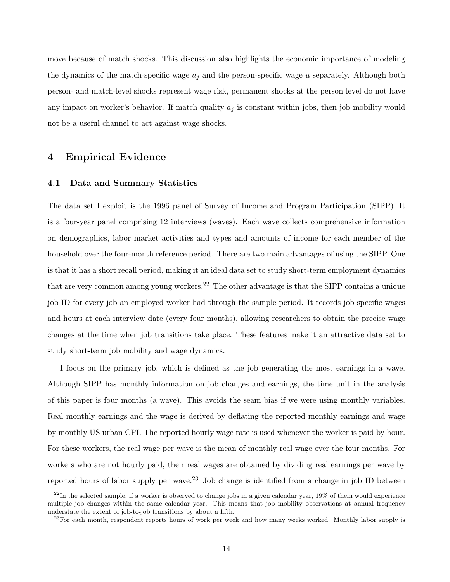move because of match shocks. This discussion also highlights the economic importance of modeling the dynamics of the match-specific wage  $a_i$  and the person-specific wage u separately. Although both person- and match-level shocks represent wage risk, permanent shocks at the person level do not have any impact on worker's behavior. If match quality  $a_j$  is constant within jobs, then job mobility would not be a useful channel to act against wage shocks.

### 4 Empirical Evidence

### 4.1 Data and Summary Statistics

The data set I exploit is the 1996 panel of Survey of Income and Program Participation (SIPP). It is a four-year panel comprising 12 interviews (waves). Each wave collects comprehensive information on demographics, labor market activities and types and amounts of income for each member of the household over the four-month reference period. There are two main advantages of using the SIPP. One is that it has a short recall period, making it an ideal data set to study short-term employment dynamics that are very common among young workers.<sup>22</sup> The other advantage is that the SIPP contains a unique job ID for every job an employed worker had through the sample period. It records job specific wages and hours at each interview date (every four months), allowing researchers to obtain the precise wage changes at the time when job transitions take place. These features make it an attractive data set to study short-term job mobility and wage dynamics.

I focus on the primary job, which is defined as the job generating the most earnings in a wave. Although SIPP has monthly information on job changes and earnings, the time unit in the analysis of this paper is four months (a wave). This avoids the seam bias if we were using monthly variables. Real monthly earnings and the wage is derived by deflating the reported monthly earnings and wage by monthly US urban CPI. The reported hourly wage rate is used whenever the worker is paid by hour. For these workers, the real wage per wave is the mean of monthly real wage over the four months. For workers who are not hourly paid, their real wages are obtained by dividing real earnings per wave by reported hours of labor supply per wave.<sup>23</sup> Job change is identified from a change in job ID between

 $^{22}$ In the selected sample, if a worker is observed to change jobs in a given calendar year, 19% of them would experience multiple job changes within the same calendar year. This means that job mobility observations at annual frequency understate the extent of job-to-job transitions by about a fifth.

 $^{23}$ For each month, respondent reports hours of work per week and how many weeks worked. Monthly labor supply is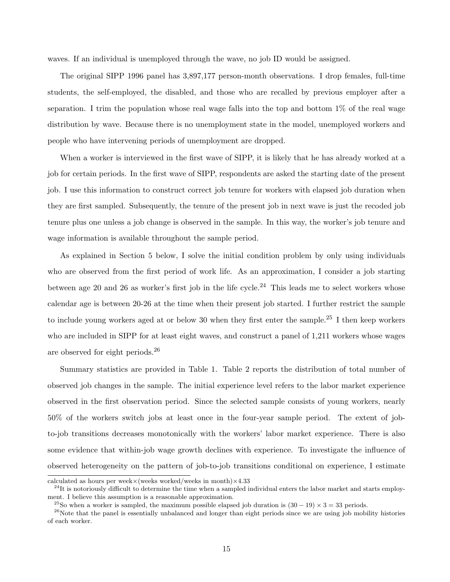waves. If an individual is unemployed through the wave, no job ID would be assigned.

The original SIPP 1996 panel has 3,897,177 person-month observations. I drop females, full-time students, the self-employed, the disabled, and those who are recalled by previous employer after a separation. I trim the population whose real wage falls into the top and bottom 1% of the real wage distribution by wave. Because there is no unemployment state in the model, unemployed workers and people who have intervening periods of unemployment are dropped.

When a worker is interviewed in the first wave of SIPP, it is likely that he has already worked at a job for certain periods. In the first wave of SIPP, respondents are asked the starting date of the present job. I use this information to construct correct job tenure for workers with elapsed job duration when they are first sampled. Subsequently, the tenure of the present job in next wave is just the recoded job tenure plus one unless a job change is observed in the sample. In this way, the worker's job tenure and wage information is available throughout the sample period.

As explained in Section 5 below, I solve the initial condition problem by only using individuals who are observed from the first period of work life. As an approximation, I consider a job starting between age 20 and 26 as worker's first job in the life cycle.<sup>24</sup> This leads me to select workers whose calendar age is between 20-26 at the time when their present job started. I further restrict the sample to include young workers aged at or below 30 when they first enter the sample.<sup>25</sup> I then keep workers who are included in SIPP for at least eight waves, and construct a panel of 1,211 workers whose wages are observed for eight periods.<sup>26</sup>

Summary statistics are provided in Table 1. Table 2 reports the distribution of total number of observed job changes in the sample. The initial experience level refers to the labor market experience observed in the first observation period. Since the selected sample consists of young workers, nearly 50% of the workers switch jobs at least once in the four-year sample period. The extent of jobto-job transitions decreases monotonically with the workers' labor market experience. There is also some evidence that within-job wage growth declines with experience. To investigate the influence of observed heterogeneity on the pattern of job-to-job transitions conditional on experience, I estimate

calculated as hours per week $\times$ (weeks worked/weeks in month) $\times$ 4.33

 $^{24}$ It is notoriously difficult to determine the time when a sampled individual enters the labor market and starts employment. I believe this assumption is a reasonable approximation.

<sup>&</sup>lt;sup>25</sup>So when a worker is sampled, the maximum possible elapsed job duration is  $(30 - 19) \times 3 = 33$  periods.

 $26$ Note that the panel is essentially unbalanced and longer than eight periods since we are using job mobility histories of each worker.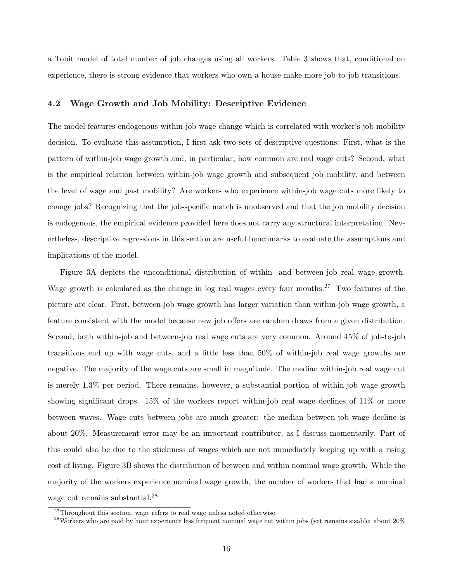a Tobit model of total number of job changes using all workers. Table 3 shows that, conditional on experience, there is strong evidence that workers who own a house make more job-to-job transitions.

#### 4.2 Wage Growth and Job Mobility: Descriptive Evidence

The model features endogenous within-job wage change which is correlated with worker's job mobility decision. To evaluate this assumption, I first ask two sets of descriptive questions: First, what is the pattern of within-job wage growth and, in particular, how common are real wage cuts? Second, what is the empirical relation between within-job wage growth and subsequent job mobility, and between the level of wage and past mobility? Are workers who experience within-job wage cuts more likely to change jobs? Recognizing that the job-specific match is unobserved and that the job mobility decision is endogenous, the empirical evidence provided here does not carry any structural interpretation. Nevertheless, descriptive regressions in this section are useful benchmarks to evaluate the assumptions and implications of the model.

Figure 3A depicts the unconditional distribution of within- and between-job real wage growth. Wage growth is calculated as the change in log real wages every four months.<sup>27</sup> Two features of the picture are clear. First, between-job wage growth has larger variation than within-job wage growth, a feature consistent with the model because new job offers are random draws from a given distribution. Second, both within-job and between-job real wage cuts are very common. Around 45% of job-to-job transitions end up with wage cuts, and a little less than 50% of within-job real wage growths are negative. The majority of the wage cuts are small in magnitude. The median within-job real wage cut is merely 1.3% per period. There remains, however, a substantial portion of within-job wage growth showing significant drops. 15% of the workers report within-job real wage declines of 11% or more between waves. Wage cuts between jobs are much greater: the median between-job wage decline is about 20%. Measurement error may be an important contributor, as I discuss momentarily. Part of this could also be due to the stickiness of wages which are not immediately keeping up with a rising cost of living. Figure 3B shows the distribution of between and within nominal wage growth. While the majority of the workers experience nominal wage growth, the number of workers that had a nominal wage cut remains substantial.<sup>28</sup>

 $27$ Throughout this section, wage refers to real wage unless noted otherwise.

<sup>&</sup>lt;sup>28</sup>Workers who are paid by hour experience less frequent nominal wage cut within jobs (yet remains sizable: about 20%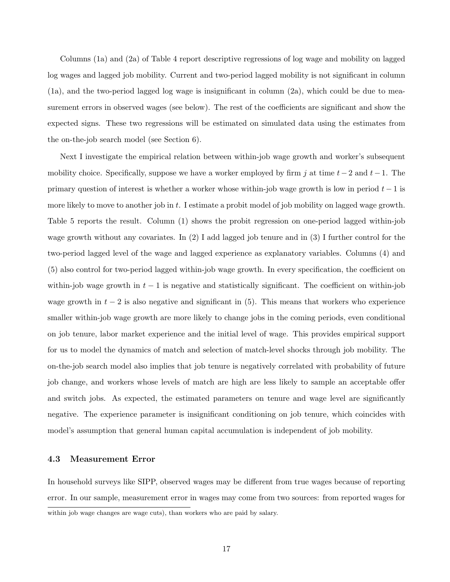Columns (1a) and (2a) of Table 4 report descriptive regressions of log wage and mobility on lagged log wages and lagged job mobility. Current and two-period lagged mobility is not significant in column (1a), and the two-period lagged log wage is insignificant in column (2a), which could be due to measurement errors in observed wages (see below). The rest of the coefficients are significant and show the expected signs. These two regressions will be estimated on simulated data using the estimates from the on-the-job search model (see Section 6).

Next I investigate the empirical relation between within-job wage growth and worker's subsequent mobility choice. Specifically, suppose we have a worker employed by firm j at time  $t-2$  and  $t-1$ . The primary question of interest is whether a worker whose within-job wage growth is low in period  $t - 1$  is more likely to move to another job in t. I estimate a probit model of job mobility on lagged wage growth. Table 5 reports the result. Column (1) shows the probit regression on one-period lagged within-job wage growth without any covariates. In (2) I add lagged job tenure and in (3) I further control for the two-period lagged level of the wage and lagged experience as explanatory variables. Columns (4) and (5) also control for two-period lagged within-job wage growth. In every specification, the coefficient on within-job wage growth in  $t - 1$  is negative and statistically significant. The coefficient on within-job wage growth in  $t-2$  is also negative and significant in (5). This means that workers who experience smaller within-job wage growth are more likely to change jobs in the coming periods, even conditional on job tenure, labor market experience and the initial level of wage. This provides empirical support for us to model the dynamics of match and selection of match-level shocks through job mobility. The on-the-job search model also implies that job tenure is negatively correlated with probability of future job change, and workers whose levels of match are high are less likely to sample an acceptable offer and switch jobs. As expected, the estimated parameters on tenure and wage level are significantly negative. The experience parameter is insignificant conditioning on job tenure, which coincides with model's assumption that general human capital accumulation is independent of job mobility.

### 4.3 Measurement Error

In household surveys like SIPP, observed wages may be different from true wages because of reporting error. In our sample, measurement error in wages may come from two sources: from reported wages for within job wage changes are wage cuts), than workers who are paid by salary.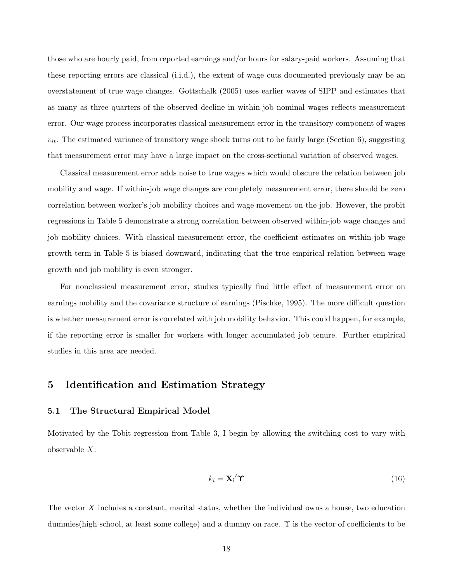those who are hourly paid, from reported earnings and/or hours for salary-paid workers. Assuming that these reporting errors are classical (i.i.d.), the extent of wage cuts documented previously may be an overstatement of true wage changes. Gottschalk (2005) uses earlier waves of SIPP and estimates that as many as three quarters of the observed decline in within-job nominal wages reflects measurement error. Our wage process incorporates classical measurement error in the transitory component of wages  $v_{it}$ . The estimated variance of transitory wage shock turns out to be fairly large (Section 6), suggesting that measurement error may have a large impact on the cross-sectional variation of observed wages.

Classical measurement error adds noise to true wages which would obscure the relation between job mobility and wage. If within-job wage changes are completely measurement error, there should be zero correlation between worker's job mobility choices and wage movement on the job. However, the probit regressions in Table 5 demonstrate a strong correlation between observed within-job wage changes and job mobility choices. With classical measurement error, the coefficient estimates on within-job wage growth term in Table 5 is biased downward, indicating that the true empirical relation between wage growth and job mobility is even stronger.

For nonclassical measurement error, studies typically find little effect of measurement error on earnings mobility and the covariance structure of earnings (Pischke, 1995). The more difficult question is whether measurement error is correlated with job mobility behavior. This could happen, for example, if the reporting error is smaller for workers with longer accumulated job tenure. Further empirical studies in this area are needed.

### 5 Identification and Estimation Strategy

### 5.1 The Structural Empirical Model

Motivated by the Tobit regression from Table 3, I begin by allowing the switching cost to vary with observable X:

$$
k_i = \mathbf{X_i}' \mathbf{\hat{T}} \tag{16}
$$

The vector X includes a constant, marital status, whether the individual owns a house, two education dummies(high school, at least some college) and a dummy on race. Υ is the vector of coefficients to be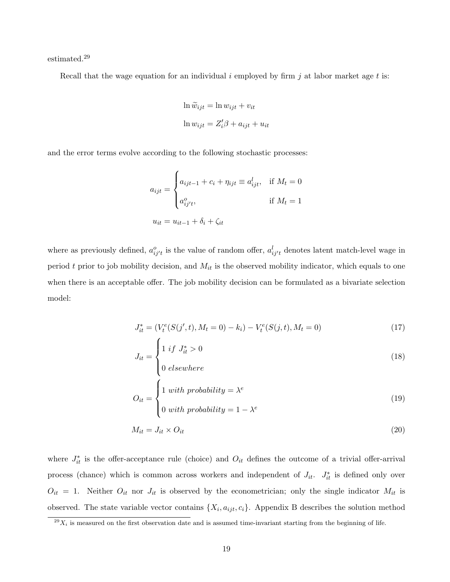estimated.<sup>29</sup>

Recall that the wage equation for an individual  $i$  employed by firm  $j$  at labor market age  $t$  is:

$$
\ln \widetilde{w}_{ijt} = \ln w_{ijt} + v_{it}
$$
  

$$
\ln w_{ijt} = Z_i'\beta + a_{ijt} + u_{it}
$$

and the error terms evolve according to the following stochastic processes:

$$
a_{ijt} = \begin{cases} a_{ijt-1} + c_i + \eta_{ijt} \equiv a_{ijt}^l, & \text{if } M_t = 0\\ a_{ij't}^o, & \text{if } M_t = 1 \end{cases}
$$
  

$$
u_{it} = u_{it-1} + \delta_i + \zeta_{it}
$$

where as previously defined,  $a_{ij't}^o$  is the value of random offer,  $a_{ij't}^l$  denotes latent match-level wage in period t prior to job mobility decision, and  $M_{it}$  is the observed mobility indicator, which equals to one when there is an acceptable offer. The job mobility decision can be formulated as a bivariate selection model:

$$
J_{it}^* = (V_t^e(S(j', t), M_t = 0) - k_i) - V_t^e(S(j, t), M_t = 0)
$$
\n
$$
\tag{17}
$$

$$
J_{it} = \begin{cases} 1 & \text{if } J_{it}^* > 0 \\ 0 & \text{elsewhere} \end{cases} \tag{18}
$$

$$
O_{it} = \begin{cases} 1 \text{ with probability} = \lambda^e \\ 0 \text{ with probability} = 1 - \lambda^e \end{cases}
$$
 (19)

$$
M_{it} = J_{it} \times O_{it} \tag{20}
$$

where  $J_{it}^*$  is the offer-acceptance rule (choice) and  $O_{it}$  defines the outcome of a trivial offer-arrival process (chance) which is common across workers and independent of  $J_{it}$ .  $J_{it}^*$  is defined only over  $O_{it} = 1$ . Neither  $O_{it}$  nor  $J_{it}$  is observed by the econometrician; only the single indicator  $M_{it}$  is observed. The state variable vector contains  $\{X_i, a_{ijt}, c_i\}$ . Appendix B describes the solution method

 $^{29}X_i$  is measured on the first observation date and is assumed time-invariant starting from the beginning of life.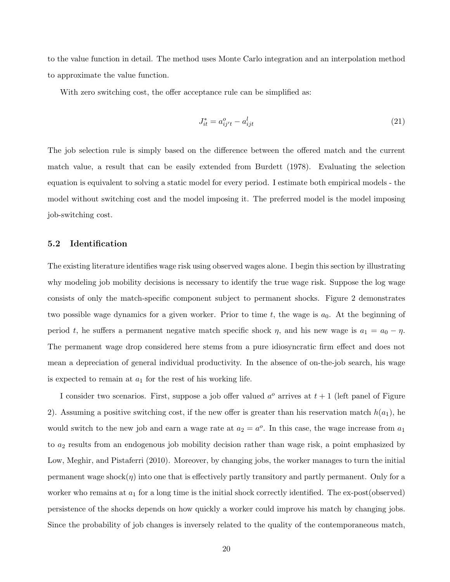to the value function in detail. The method uses Monte Carlo integration and an interpolation method to approximate the value function.

With zero switching cost, the offer acceptance rule can be simplified as:

$$
J_{it}^* = a_{ij't}^o - a_{ijt}^l \tag{21}
$$

The job selection rule is simply based on the difference between the offered match and the current match value, a result that can be easily extended from Burdett (1978). Evaluating the selection equation is equivalent to solving a static model for every period. I estimate both empirical models - the model without switching cost and the model imposing it. The preferred model is the model imposing job-switching cost.

#### 5.2 Identification

The existing literature identifies wage risk using observed wages alone. I begin this section by illustrating why modeling job mobility decisions is necessary to identify the true wage risk. Suppose the log wage consists of only the match-specific component subject to permanent shocks. Figure 2 demonstrates two possible wage dynamics for a given worker. Prior to time  $t$ , the wage is  $a_0$ . At the beginning of period t, he suffers a permanent negative match specific shock  $\eta$ , and his new wage is  $a_1 = a_0 - \eta$ . The permanent wage drop considered here stems from a pure idiosyncratic firm effect and does not mean a depreciation of general individual productivity. In the absence of on-the-job search, his wage is expected to remain at  $a_1$  for the rest of his working life.

I consider two scenarios. First, suppose a job offer valued  $a^o$  arrives at  $t + 1$  (left panel of Figure 2). Assuming a positive switching cost, if the new offer is greater than his reservation match  $h(a_1)$ , he would switch to the new job and earn a wage rate at  $a_2 = a^o$ . In this case, the wage increase from  $a_1$ to  $a_2$  results from an endogenous job mobility decision rather than wage risk, a point emphasized by Low, Meghir, and Pistaferri (2010). Moreover, by changing jobs, the worker manages to turn the initial permanent wage shock $(\eta)$  into one that is effectively partly transitory and partly permanent. Only for a worker who remains at  $a_1$  for a long time is the initial shock correctly identified. The ex-post(observed) persistence of the shocks depends on how quickly a worker could improve his match by changing jobs. Since the probability of job changes is inversely related to the quality of the contemporaneous match,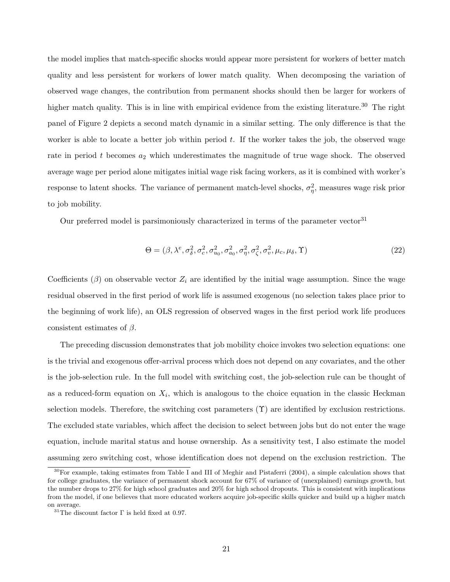the model implies that match-specific shocks would appear more persistent for workers of better match quality and less persistent for workers of lower match quality. When decomposing the variation of observed wage changes, the contribution from permanent shocks should then be larger for workers of higher match quality. This is in line with empirical evidence from the existing literature.<sup>30</sup> The right panel of Figure 2 depicts a second match dynamic in a similar setting. The only difference is that the worker is able to locate a better job within period  $t$ . If the worker takes the job, the observed wage rate in period  $t$  becomes  $a_2$  which underestimates the magnitude of true wage shock. The observed average wage per period alone mitigates initial wage risk facing workers, as it is combined with worker's response to latent shocks. The variance of permanent match-level shocks,  $\sigma_{\eta}^2$ , measures wage risk prior to job mobility.

Our preferred model is parsimoniously characterized in terms of the parameter vector<sup>31</sup>

$$
\Theta = (\beta, \lambda^e, \sigma_\delta^2, \sigma_c^2, \sigma_{u_0}^2, \sigma_{a_0}^2, \sigma_\eta^2, \sigma_\zeta^2, \sigma_v^2, \mu_c, \mu_\delta, \Upsilon)
$$
\n(22)

Coefficients ( $\beta$ ) on observable vector  $Z_i$  are identified by the initial wage assumption. Since the wage residual observed in the first period of work life is assumed exogenous (no selection takes place prior to the beginning of work life), an OLS regression of observed wages in the first period work life produces consistent estimates of  $\beta$ .

The preceding discussion demonstrates that job mobility choice invokes two selection equations: one is the trivial and exogenous offer-arrival process which does not depend on any covariates, and the other is the job-selection rule. In the full model with switching cost, the job-selection rule can be thought of as a reduced-form equation on  $X_i$ , which is analogous to the choice equation in the classic Heckman selection models. Therefore, the switching cost parameters  $(\Upsilon)$  are identified by exclusion restrictions. The excluded state variables, which affect the decision to select between jobs but do not enter the wage equation, include marital status and house ownership. As a sensitivity test, I also estimate the model assuming zero switching cost, whose identification does not depend on the exclusion restriction. The

<sup>&</sup>lt;sup>30</sup>For example, taking estimates from Table I and III of Meghir and Pistaferri (2004), a simple calculation shows that for college graduates, the variance of permanent shock account for 67% of variance of (unexplained) earnings growth, but the number drops to 27% for high school graduates and 20% for high school dropouts. This is consistent with implications from the model, if one believes that more educated workers acquire job-specific skills quicker and build up a higher match on average.

 $^{31}\mathrm{The}$  discount factor  $\Gamma$  is held fixed at 0.97.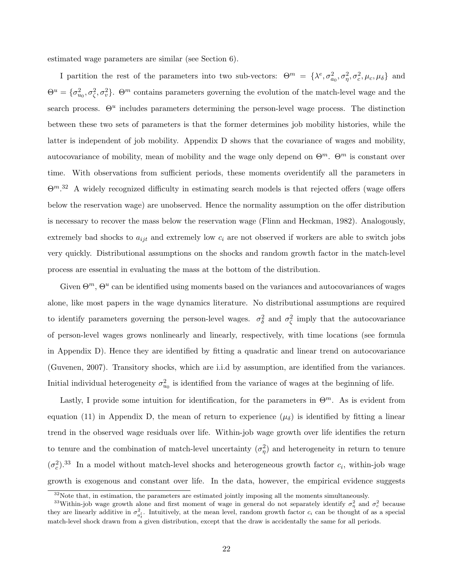estimated wage parameters are similar (see Section 6).

I partition the rest of the parameters into two sub-vectors:  $\Theta^m = {\lambda^e, \sigma_{a_0}^2, \sigma_{\eta}^2, \sigma_{c}^2, \mu_c, \mu_{\delta}}$  and  $\Theta^u = \{\sigma_{u_0}^2, \sigma_{\zeta}^2, \sigma_v^2\}$ .  $\Theta^m$  contains parameters governing the evolution of the match-level wage and the search process.  $\Theta^u$  includes parameters determining the person-level wage process. The distinction between these two sets of parameters is that the former determines job mobility histories, while the latter is independent of job mobility. Appendix D shows that the covariance of wages and mobility, autocovariance of mobility, mean of mobility and the wage only depend on  $\Theta^m$ .  $\Theta^m$  is constant over time. With observations from sufficient periods, these moments overidentify all the parameters in  $\Theta^{m,32}$  A widely recognized difficulty in estimating search models is that rejected offers (wage offers below the reservation wage) are unobserved. Hence the normality assumption on the offer distribution is necessary to recover the mass below the reservation wage (Flinn and Heckman, 1982). Analogously, extremely bad shocks to  $a_{ijt}$  and extremely low  $c_i$  are not observed if workers are able to switch jobs very quickly. Distributional assumptions on the shocks and random growth factor in the match-level process are essential in evaluating the mass at the bottom of the distribution.

Given  $\Theta^m$ ,  $\Theta^u$  can be identified using moments based on the variances and autocovariances of wages alone, like most papers in the wage dynamics literature. No distributional assumptions are required to identify parameters governing the person-level wages.  $\sigma_{\delta}^2$  and  $\sigma_{\zeta}^2$  imply that the autocovariance of person-level wages grows nonlinearly and linearly, respectively, with time locations (see formula in Appendix D). Hence they are identified by fitting a quadratic and linear trend on autocovariance (Guvenen, 2007). Transitory shocks, which are i.i.d by assumption, are identified from the variances. Initial individual heterogeneity  $\sigma_{u_0}^2$  is identified from the variance of wages at the beginning of life.

Lastly, I provide some intuition for identification, for the parameters in  $\Theta^m$ . As is evident from equation (11) in Appendix D, the mean of return to experience  $(\mu_{\delta})$  is identified by fitting a linear trend in the observed wage residuals over life. Within-job wage growth over life identifies the return to tenure and the combination of match-level uncertainty  $(\sigma_{\eta}^2)$  and heterogeneity in return to tenure  $(\sigma_c^2)^{33}$  In a model without match-level shocks and heterogeneous growth factor  $c_i$ , within-job wage growth is exogenous and constant over life. In the data, however, the empirical evidence suggests

 $32\text{Note that, in estimation, the parameters are estimated jointly imposing all the moments simultaneously.}$ 

<sup>&</sup>lt;sup>33</sup>Within-job wage growth alone and first moment of wage in general do not separately identify  $\sigma_\eta^2$  and  $\sigma_c^2$  because they are linearly additive in  $\sigma_{a_t^l}^2$ . Intuitively, at the mean level, random growth factor  $c_i$  can be thought of as a special match-level shock drawn from a given distribution, except that the draw is accidentally the same for all periods.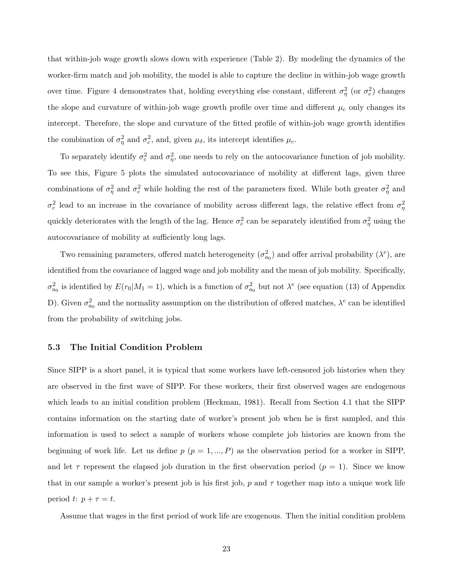that within-job wage growth slows down with experience (Table 2). By modeling the dynamics of the worker-firm match and job mobility, the model is able to capture the decline in within-job wage growth over time. Figure 4 demonstrates that, holding everything else constant, different  $\sigma_{\eta}^2$  (or  $\sigma_c^2$ ) changes the slope and curvature of within-job wage growth profile over time and different  $\mu_c$  only changes its intercept. Therefore, the slope and curvature of the fitted profile of within-job wage growth identifies the combination of  $\sigma_{\eta}^2$  and  $\sigma_c^2$ , and, given  $\mu_{\delta}$ , its intercept identifies  $\mu_c$ .

To separately identify  $\sigma_c^2$  and  $\sigma_{\eta}^2$ , one needs to rely on the autocovariance function of job mobility. To see this, Figure 5 plots the simulated autocovariance of mobility at different lags, given three combinations of  $\sigma_{\eta}^2$  and  $\sigma_c^2$  while holding the rest of the parameters fixed. While both greater  $\sigma_{\eta}^2$  and  $\sigma_c^2$  lead to an increase in the covariance of mobility across different lags, the relative effect from  $\sigma_\eta^2$ quickly deteriorates with the length of the lag. Hence  $\sigma_c^2$  can be separately identified from  $\sigma_\eta^2$  using the autocovariance of mobility at sufficiently long lags.

Two remaining parameters, offered match heterogeneity  $(\sigma_{a_0}^2)$  and offer arrival probability  $(\lambda^e)$ , are identified from the covariance of lagged wage and job mobility and the mean of job mobility. Specifically,  $\sigma_{a_0}^2$  is identified by  $E(r_0|M_1=1)$ , which is a function of  $\sigma_{a_0}^2$  but not  $\lambda^e$  (see equation (13) of Appendix D). Given  $\sigma_{a_0}^2$  and the normality assumption on the distribution of offered matches,  $\lambda^e$  can be identified from the probability of switching jobs.

### 5.3 The Initial Condition Problem

Since SIPP is a short panel, it is typical that some workers have left-censored job histories when they are observed in the first wave of SIPP. For these workers, their first observed wages are endogenous which leads to an initial condition problem (Heckman, 1981). Recall from Section 4.1 that the SIPP contains information on the starting date of worker's present job when he is first sampled, and this information is used to select a sample of workers whose complete job histories are known from the beginning of work life. Let us define  $p$   $(p = 1, ..., P)$  as the observation period for a worker in SIPP, and let  $\tau$  represent the elapsed job duration in the first observation period ( $p = 1$ ). Since we know that in our sample a worker's present job is his first job, p and  $\tau$  together map into a unique work life period t:  $p + \tau = t$ .

Assume that wages in the first period of work life are exogenous. Then the initial condition problem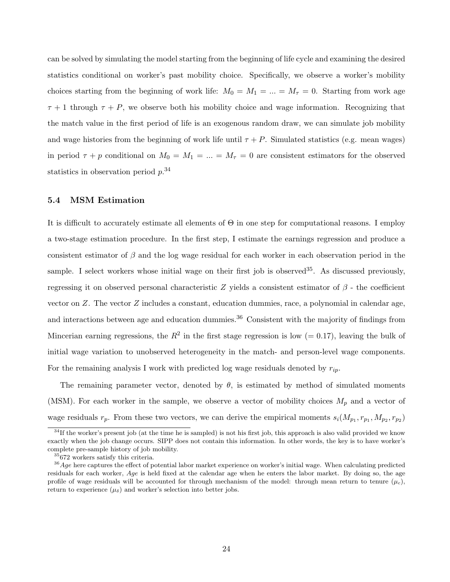can be solved by simulating the model starting from the beginning of life cycle and examining the desired statistics conditional on worker's past mobility choice. Specifically, we observe a worker's mobility choices starting from the beginning of work life:  $M_0 = M_1 = ... = M_\tau = 0$ . Starting from work age  $\tau + 1$  through  $\tau + P$ , we observe both his mobility choice and wage information. Recognizing that the match value in the first period of life is an exogenous random draw, we can simulate job mobility and wage histories from the beginning of work life until  $\tau + P$ . Simulated statistics (e.g. mean wages) in period  $\tau + p$  conditional on  $M_0 = M_1 = ... = M_\tau = 0$  are consistent estimators for the observed statistics in observation period  $p^{34}$ 

#### 5.4 MSM Estimation

It is difficult to accurately estimate all elements of  $\Theta$  in one step for computational reasons. I employ a two-stage estimation procedure. In the first step, I estimate the earnings regression and produce a consistent estimator of  $\beta$  and the log wage residual for each worker in each observation period in the sample. I select workers whose initial wage on their first job is observed<sup>35</sup>. As discussed previously, regressing it on observed personal characteristic Z yields a consistent estimator of  $\beta$  - the coefficient vector on  $Z$ . The vector  $Z$  includes a constant, education dummies, race, a polynomial in calendar age, and interactions between age and education dummies.<sup>36</sup> Consistent with the majority of findings from Mincerian earning regressions, the  $R^2$  in the first stage regression is low (= 0.17), leaving the bulk of initial wage variation to unobserved heterogeneity in the match- and person-level wage components. For the remaining analysis I work with predicted log wage residuals denoted by  $r_{ip}$ .

The remaining parameter vector, denoted by  $\theta$ , is estimated by method of simulated moments (MSM). For each worker in the sample, we observe a vector of mobility choices  $M_p$  and a vector of wage residuals  $r_p$ . From these two vectors, we can derive the empirical moments  $s_i(M_{p_1}, r_{p_1}, M_{p_2}, r_{p_2})$ 

 $34$ If the worker's present job (at the time he is sampled) is not his first job, this approach is also valid provided we know exactly when the job change occurs. SIPP does not contain this information. In other words, the key is to have worker's complete pre-sample history of job mobility.

 $35672$  workers satisfy this criteria.

 $36$  Age here captures the effect of potential labor market experience on worker's initial wage. When calculating predicted residuals for each worker,  $Aqe$  is held fixed at the calendar age when he enters the labor market. By doing so, the age profile of wage residuals will be accounted for through mechanism of the model: through mean return to tenure  $(\mu_c)$ , return to experience  $(\mu_{\delta})$  and worker's selection into better jobs.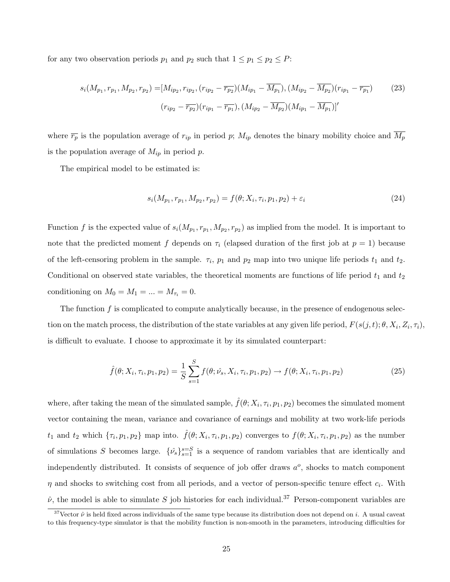for any two observation periods  $p_1$  and  $p_2$  such that  $1 \leq p_1 \leq p_2 \leq P$ :

$$
s_i(M_{p_1}, r_{p_1}, M_{p_2}, r_{p_2}) = [M_{ip_2}, r_{ip_2}, (r_{ip_2} - \overline{r_{p_2}})(M_{ip_1} - \overline{M_{p_1}}), (M_{ip_2} - \overline{M_{p_2}})(r_{ip_1} - \overline{r_{p_1}})
$$
(23)  

$$
(r_{ip_2} - \overline{r_{p_2}})(r_{ip_1} - \overline{r_{p_1}}), (M_{ip_2} - \overline{M_{p_2}})(M_{ip_1} - \overline{M_{p_1}})]'
$$

where  $\overline{r_p}$  is the population average of  $r_{ip}$  in period p;  $M_{ip}$  denotes the binary mobility choice and  $\overline{M_p}$ is the population average of  $M_{ip}$  in period p.

The empirical model to be estimated is:

$$
s_i(M_{p_1}, r_{p_1}, M_{p_2}, r_{p_2}) = f(\theta; X_i, \tau_i, p_1, p_2) + \varepsilon_i \tag{24}
$$

Function f is the expected value of  $s_i(M_{p_1}, r_{p_1}, M_{p_2}, r_{p_2})$  as implied from the model. It is important to note that the predicted moment f depends on  $\tau_i$  (elapsed duration of the first job at  $p = 1$ ) because of the left-censoring problem in the sample.  $\tau_i$ ,  $p_1$  and  $p_2$  map into two unique life periods  $t_1$  and  $t_2$ . Conditional on observed state variables, the theoretical moments are functions of life period  $t_1$  and  $t_2$ conditioning on  $M_0 = M_1 = \ldots = M_{\tau_i} = 0$ .

The function  $f$  is complicated to compute analytically because, in the presence of endogenous selection on the match process, the distribution of the state variables at any given life period,  $F(s(j, t); \theta, X_i, Z_i, \tau_i)$ , is difficult to evaluate. I choose to approximate it by its simulated counterpart:

$$
\hat{f}(\theta; X_i, \tau_i, p_1, p_2) = \frac{1}{S} \sum_{s=1}^{S} f(\theta; \hat{\nu_s}, X_i, \tau_i, p_1, p_2) \to f(\theta; X_i, \tau_i, p_1, p_2)
$$
\n(25)

where, after taking the mean of the simulated sample,  $\hat{f}(\theta; X_i, \tau_i, p_1, p_2)$  becomes the simulated moment vector containing the mean, variance and covariance of earnings and mobility at two work-life periods  $t_1$  and  $t_2$  which  $\{\tau_i, p_1, p_2\}$  map into.  $\hat{f}(\theta; X_i, \tau_i, p_1, p_2)$  converges to  $f(\theta; X_i, \tau_i, p_1, p_2)$  as the number of simulations S becomes large.  $\{\hat{\nu}_s\}_{s=1}^{s=S}$  is a sequence of random variables that are identically and independently distributed. It consists of sequence of job offer draws  $a^o$ , shocks to match component  $\eta$  and shocks to switching cost from all periods, and a vector of person-specific tenure effect  $c_i$ . With  $\hat{\nu}$ , the model is able to simulate S job histories for each individual.<sup>37</sup> Person-component variables are

<sup>&</sup>lt;sup>37</sup>Vector  $\hat{\nu}$  is held fixed across individuals of the same type because its distribution does not depend on i. A usual caveat to this frequency-type simulator is that the mobility function is non-smooth in the parameters, introducing difficulties for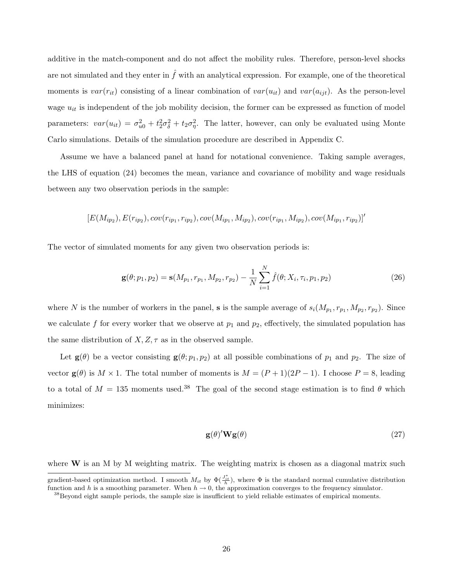additive in the match-component and do not affect the mobility rules. Therefore, person-level shocks are not simulated and they enter in  $\hat{f}$  with an analytical expression. For example, one of the theoretical moments is  $var(r_{it})$  consisting of a linear combination of  $var(u_{it})$  and  $var(a_{ijt})$ . As the person-level wage  $u_{it}$  is independent of the job mobility decision, the former can be expressed as function of model parameters:  $var(u_{it}) = \sigma_{u0}^2 + t_2^2 \sigma_{\delta}^2 + t_2 \sigma_{\eta}^2$ . The latter, however, can only be evaluated using Monte Carlo simulations. Details of the simulation procedure are described in Appendix C.

Assume we have a balanced panel at hand for notational convenience. Taking sample averages, the LHS of equation (24) becomes the mean, variance and covariance of mobility and wage residuals between any two observation periods in the sample:

$$
[E(M_{ip_2}), E(r_{ip_2}), cov(r_{ip_1}, r_{ip_2}), cov(M_{ip_1}, M_{ip_2}), cov(r_{ip_1}, M_{ip_2}), cov(M_{ip_1}, r_{ip_2})]
$$

The vector of simulated moments for any given two observation periods is:

$$
\mathbf{g}(\theta; p_1, p_2) = \mathbf{s}(M_{p_1}, r_{p_1}, M_{p_2}, r_{p_2}) - \frac{1}{N} \sum_{i=1}^N \hat{f}(\theta; X_i, \tau_i, p_1, p_2)
$$
(26)

where N is the number of workers in the panel, **s** is the sample average of  $s_i(M_{p_1}, r_{p_1}, M_{p_2}, r_{p_2})$ . Since we calculate f for every worker that we observe at  $p_1$  and  $p_2$ , effectively, the simulated population has the same distribution of  $X, Z, \tau$  as in the observed sample.

Let  $\mathbf{g}(\theta)$  be a vector consisting  $\mathbf{g}(\theta; p_1, p_2)$  at all possible combinations of  $p_1$  and  $p_2$ . The size of vector  $\mathbf{g}(\theta)$  is  $M \times 1$ . The total number of moments is  $M = (P + 1)(2P - 1)$ . I choose  $P = 8$ , leading to a total of  $M = 135$  moments used.<sup>38</sup> The goal of the second stage estimation is to find  $\theta$  which minimizes:

$$
\mathbf{g}(\theta)'\mathbf{W}\mathbf{g}(\theta) \tag{27}
$$

where  $W$  is an M by M weighting matrix. The weighting matrix is chosen as a diagonal matrix such

gradient-based optimization method. I smooth  $M_{it}$  by  $\Phi(\frac{J_{it}^*}{h})$ , where  $\Phi$  is the standard normal cumulative distribution function and h is a smoothing parameter. When  $h \to 0$ , the approximation converges to the frequency simulator.

<sup>&</sup>lt;sup>38</sup>Beyond eight sample periods, the sample size is insufficient to yield reliable estimates of empirical moments.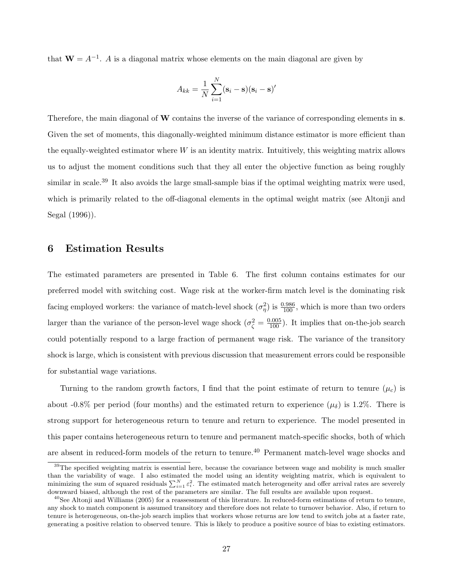that  $W = A^{-1}$ . A is a diagonal matrix whose elements on the main diagonal are given by

$$
A_{kk} = \frac{1}{N} \sum_{i=1}^{N} (\mathbf{s}_i - \mathbf{s})(\mathbf{s}_i - \mathbf{s})'
$$

Therefore, the main diagonal of W contains the inverse of the variance of corresponding elements in  $s$ . Given the set of moments, this diagonally-weighted minimum distance estimator is more efficient than the equally-weighted estimator where W is an identity matrix. Intuitively, this weighting matrix allows us to adjust the moment conditions such that they all enter the objective function as being roughly similar in scale.<sup>39</sup> It also avoids the large small-sample bias if the optimal weighting matrix were used, which is primarily related to the off-diagonal elements in the optimal weight matrix (see Altonii and Segal (1996)).

### 6 Estimation Results

The estimated parameters are presented in Table 6. The first column contains estimates for our preferred model with switching cost. Wage risk at the worker-firm match level is the dominating risk facing employed workers: the variance of match-level shock  $(\sigma_{\eta}^2)$  is  $\frac{0.986}{100}$ , which is more than two orders larger than the variance of the person-level wage shock  $(\sigma_{\zeta}^2 = \frac{0.005}{100})$ . It implies that on-the-job search could potentially respond to a large fraction of permanent wage risk. The variance of the transitory shock is large, which is consistent with previous discussion that measurement errors could be responsible for substantial wage variations.

Turning to the random growth factors, I find that the point estimate of return to tenure  $(\mu_c)$  is about -0.8% per period (four months) and the estimated return to experience  $(\mu_{\delta})$  is 1.2%. There is strong support for heterogeneous return to tenure and return to experience. The model presented in this paper contains heterogeneous return to tenure and permanent match-specific shocks, both of which are absent in reduced-form models of the return to tenure.<sup>40</sup> Permanent match-level wage shocks and

<sup>&</sup>lt;sup>39</sup>The specified weighting matrix is essential here, because the covariance between wage and mobility is much smaller than the variability of wage. I also estimated the model using an identity weighting matrix, which is equivalent to minimizing the sum of squared residuals  $\sum_{i=1}^{N} \varepsilon_i^2$ . The estimated match heterogeneity and offer arrival rates are severely downward biased, although the rest of the parameters are similar. The full results are available upon request.

 $^{40}$ See Altonji and Williams (2005) for a reassessment of this literature. In reduced-form estimations of return to tenure, any shock to match component is assumed transitory and therefore does not relate to turnover behavior. Also, if return to tenure is heterogeneous, on-the-job search implies that workers whose returns are low tend to switch jobs at a faster rate, generating a positive relation to observed tenure. This is likely to produce a positive source of bias to existing estimators.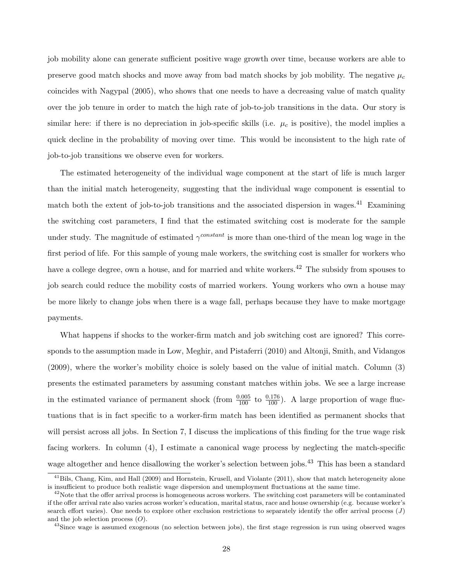job mobility alone can generate sufficient positive wage growth over time, because workers are able to preserve good match shocks and move away from bad match shocks by job mobility. The negative  $\mu_c$ coincides with Nagypal (2005), who shows that one needs to have a decreasing value of match quality over the job tenure in order to match the high rate of job-to-job transitions in the data. Our story is similar here: if there is no depreciation in job-specific skills (i.e.  $\mu_c$  is positive), the model implies a quick decline in the probability of moving over time. This would be inconsistent to the high rate of job-to-job transitions we observe even for workers.

The estimated heterogeneity of the individual wage component at the start of life is much larger than the initial match heterogeneity, suggesting that the individual wage component is essential to match both the extent of job-to-job transitions and the associated dispersion in wages.<sup>41</sup> Examining the switching cost parameters, I find that the estimated switching cost is moderate for the sample under study. The magnitude of estimated  $\gamma^{constant}$  is more than one-third of the mean log wage in the first period of life. For this sample of young male workers, the switching cost is smaller for workers who have a college degree, own a house, and for married and white workers.<sup>42</sup> The subsidy from spouses to job search could reduce the mobility costs of married workers. Young workers who own a house may be more likely to change jobs when there is a wage fall, perhaps because they have to make mortgage payments.

What happens if shocks to the worker-firm match and job switching cost are ignored? This corresponds to the assumption made in Low, Meghir, and Pistaferri (2010) and Altonji, Smith, and Vidangos (2009), where the worker's mobility choice is solely based on the value of initial match. Column (3) presents the estimated parameters by assuming constant matches within jobs. We see a large increase in the estimated variance of permanent shock (from  $\frac{0.005}{100}$  to  $\frac{0.176}{100}$ ). A large proportion of wage fluctuations that is in fact specific to a worker-firm match has been identified as permanent shocks that will persist across all jobs. In Section 7, I discuss the implications of this finding for the true wage risk facing workers. In column (4), I estimate a canonical wage process by neglecting the match-specific wage altogether and hence disallowing the worker's selection between jobs.<sup>43</sup> This has been a standard

<sup>&</sup>lt;sup>41</sup>Bils, Chang, Kim, and Hall (2009) and Hornstein, Krusell, and Violante (2011), show that match heterogeneity alone is insufficient to produce both realistic wage dispersion and unemployment fluctuations at the same time.

 $^{42}$ Note that the offer arrival process is homogeneous across workers. The switching cost parameters will be contaminated if the offer arrival rate also varies across worker's education, marital status, race and house ownership (e.g. because worker's search effort varies). One needs to explore other exclusion restrictions to separately identify the offer arrival process  $(J)$ and the job selection process  $(O)$ .

<sup>&</sup>lt;sup>43</sup>Since wage is assumed exogenous (no selection between jobs), the first stage regression is run using observed wages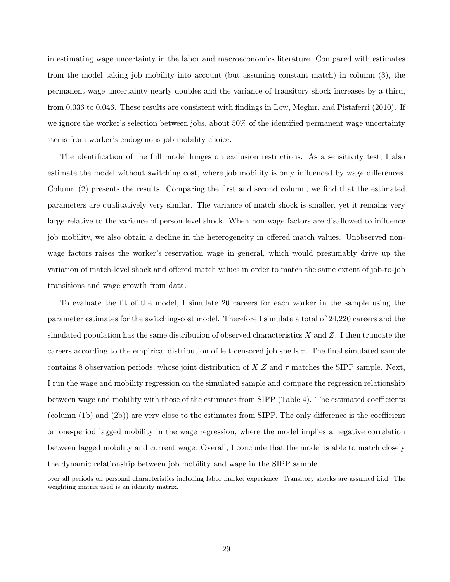in estimating wage uncertainty in the labor and macroeconomics literature. Compared with estimates from the model taking job mobility into account (but assuming constant match) in column (3), the permanent wage uncertainty nearly doubles and the variance of transitory shock increases by a third, from 0.036 to 0.046. These results are consistent with findings in Low, Meghir, and Pistaferri (2010). If we ignore the worker's selection between jobs, about 50% of the identified permanent wage uncertainty stems from worker's endogenous job mobility choice.

The identification of the full model hinges on exclusion restrictions. As a sensitivity test, I also estimate the model without switching cost, where job mobility is only influenced by wage differences. Column (2) presents the results. Comparing the first and second column, we find that the estimated parameters are qualitatively very similar. The variance of match shock is smaller, yet it remains very large relative to the variance of person-level shock. When non-wage factors are disallowed to influence job mobility, we also obtain a decline in the heterogeneity in offered match values. Unobserved nonwage factors raises the worker's reservation wage in general, which would presumably drive up the variation of match-level shock and offered match values in order to match the same extent of job-to-job transitions and wage growth from data.

To evaluate the fit of the model, I simulate 20 careers for each worker in the sample using the parameter estimates for the switching-cost model. Therefore I simulate a total of 24,220 careers and the simulated population has the same distribution of observed characteristics X and Z. I then truncate the careers according to the empirical distribution of left-censored job spells  $\tau$ . The final simulated sample contains 8 observation periods, whose joint distribution of  $X, Z$  and  $\tau$  matches the SIPP sample. Next, I run the wage and mobility regression on the simulated sample and compare the regression relationship between wage and mobility with those of the estimates from SIPP (Table 4). The estimated coefficients (column (1b) and (2b)) are very close to the estimates from SIPP. The only difference is the coefficient on one-period lagged mobility in the wage regression, where the model implies a negative correlation between lagged mobility and current wage. Overall, I conclude that the model is able to match closely the dynamic relationship between job mobility and wage in the SIPP sample.

over all periods on personal characteristics including labor market experience. Transitory shocks are assumed i.i.d. The weighting matrix used is an identity matrix.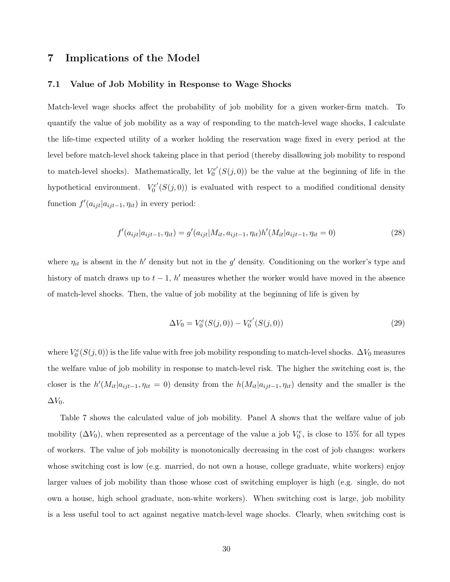# 7 Implications of the Model

#### 7.1 Value of Job Mobility in Response to Wage Shocks

Match-level wage shocks affect the probability of job mobility for a given worker-firm match. To quantify the value of job mobility as a way of responding to the match-level wage shocks, I calculate the life-time expected utility of a worker holding the reservation wage fixed in every period at the level before match-level shock takeing place in that period (thereby disallowing job mobility to respond to match-level shocks). Mathematically, let  $V_0^{e'}$  $\mathcal{O}_0^{ee'}(S(j,0))$  be the value at the beginning of life in the hypothetical environment.  $V_0^{e'}$  $\mathcal{O}_0^{e'}(S(j,0))$  is evaluated with respect to a modified conditional density function  $f'(a_{ijt}|a_{ijt-1}, \eta_{it})$  in every period:

$$
f'(a_{ijt}|a_{ijt-1},\eta_{it}) = g'(a_{ijt}|M_{it},a_{ijt-1},\eta_{it})h'(M_{it}|a_{ijt-1},\eta_{it}=0)
$$
\n(28)

where  $\eta_{it}$  is absent in the h' density but not in the g' density. Conditioning on the worker's type and history of match draws up to  $t - 1$ , h' measures whether the worker would have moved in the absence of match-level shocks. Then, the value of job mobility at the beginning of life is given by

$$
\Delta V_0 = V_0^e(S(j,0)) - V_0^{e'}(S(j,0))
$$
\n(29)

where  $V_0^e(S(j, 0))$  is the life value with free job mobility responding to match-level shocks.  $\Delta V_0$  measures the welfare value of job mobility in response to match-level risk. The higher the switching cost is, the closer is the  $h'(M_{it}|a_{ijt-1}, \eta_{it} = 0)$  density from the  $h(M_{it}|a_{ijt-1}, \eta_{it})$  density and the smaller is the  $\Delta V_0$ .

Table 7 shows the calculated value of job mobility. Panel A shows that the welfare value of job mobility  $(\Delta V_0)$ , when represented as a percentage of the value a job  $V_0^e$ , is close to 15% for all types of workers. The value of job mobility is monotonically decreasing in the cost of job changes: workers whose switching cost is low (e.g. married, do not own a house, college graduate, white workers) enjoy larger values of job mobility than those whose cost of switching employer is high (e.g. single, do not own a house, high school graduate, non-white workers). When switching cost is large, job mobility is a less useful tool to act against negative match-level wage shocks. Clearly, when switching cost is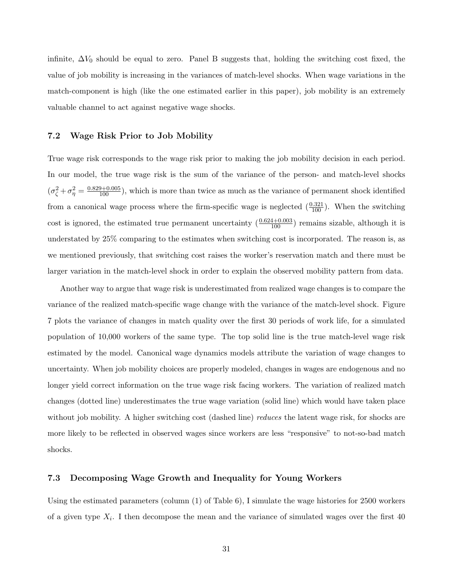infinite,  $\Delta V_0$  should be equal to zero. Panel B suggests that, holding the switching cost fixed, the value of job mobility is increasing in the variances of match-level shocks. When wage variations in the match-component is high (like the one estimated earlier in this paper), job mobility is an extremely valuable channel to act against negative wage shocks.

#### 7.2 Wage Risk Prior to Job Mobility

True wage risk corresponds to the wage risk prior to making the job mobility decision in each period. In our model, the true wage risk is the sum of the variance of the person- and match-level shocks  $(\sigma_{\zeta}^2 + \sigma_{\eta}^2) = \frac{0.829 + 0.005}{100}$ , which is more than twice as much as the variance of permanent shock identified from a canonical wage process where the firm-specific wage is neglected  $(\frac{0.321}{100})$ . When the switching cost is ignored, the estimated true permanent uncertainty  $(\frac{0.624+0.003}{100})$  remains sizable, although it is understated by 25% comparing to the estimates when switching cost is incorporated. The reason is, as we mentioned previously, that switching cost raises the worker's reservation match and there must be larger variation in the match-level shock in order to explain the observed mobility pattern from data.

Another way to argue that wage risk is underestimated from realized wage changes is to compare the variance of the realized match-specific wage change with the variance of the match-level shock. Figure 7 plots the variance of changes in match quality over the first 30 periods of work life, for a simulated population of 10,000 workers of the same type. The top solid line is the true match-level wage risk estimated by the model. Canonical wage dynamics models attribute the variation of wage changes to uncertainty. When job mobility choices are properly modeled, changes in wages are endogenous and no longer yield correct information on the true wage risk facing workers. The variation of realized match changes (dotted line) underestimates the true wage variation (solid line) which would have taken place without job mobility. A higher switching cost (dashed line) *reduces* the latent wage risk, for shocks are more likely to be reflected in observed wages since workers are less "responsive" to not-so-bad match shocks.

### 7.3 Decomposing Wage Growth and Inequality for Young Workers

Using the estimated parameters (column (1) of Table 6), I simulate the wage histories for 2500 workers of a given type  $X_i$ . I then decompose the mean and the variance of simulated wages over the first 40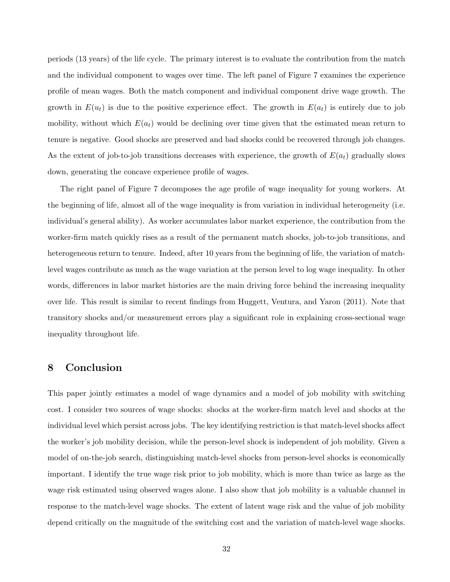periods (13 years) of the life cycle. The primary interest is to evaluate the contribution from the match and the individual component to wages over time. The left panel of Figure 7 examines the experience profile of mean wages. Both the match component and individual component drive wage growth. The growth in  $E(u_t)$  is due to the positive experience effect. The growth in  $E(a_t)$  is entirely due to job mobility, without which  $E(a_t)$  would be declining over time given that the estimated mean return to tenure is negative. Good shocks are preserved and bad shocks could be recovered through job changes. As the extent of job-to-job transitions decreases with experience, the growth of  $E(a_t)$  gradually slows down, generating the concave experience profile of wages.

The right panel of Figure 7 decomposes the age profile of wage inequality for young workers. At the beginning of life, almost all of the wage inequality is from variation in individual heterogeneity (i.e. individual's general ability). As worker accumulates labor market experience, the contribution from the worker-firm match quickly rises as a result of the permanent match shocks, job-to-job transitions, and heterogeneous return to tenure. Indeed, after 10 years from the beginning of life, the variation of matchlevel wages contribute as much as the wage variation at the person level to log wage inequality. In other words, differences in labor market histories are the main driving force behind the increasing inequality over life. This result is similar to recent findings from Huggett, Ventura, and Yaron (2011). Note that transitory shocks and/or measurement errors play a significant role in explaining cross-sectional wage inequality throughout life.

# 8 Conclusion

This paper jointly estimates a model of wage dynamics and a model of job mobility with switching cost. I consider two sources of wage shocks: shocks at the worker-firm match level and shocks at the individual level which persist across jobs. The key identifying restriction is that match-level shocks affect the worker's job mobility decision, while the person-level shock is independent of job mobility. Given a model of on-the-job search, distinguishing match-level shocks from person-level shocks is economically important. I identify the true wage risk prior to job mobility, which is more than twice as large as the wage risk estimated using observed wages alone. I also show that job mobility is a valuable channel in response to the match-level wage shocks. The extent of latent wage risk and the value of job mobility depend critically on the magnitude of the switching cost and the variation of match-level wage shocks.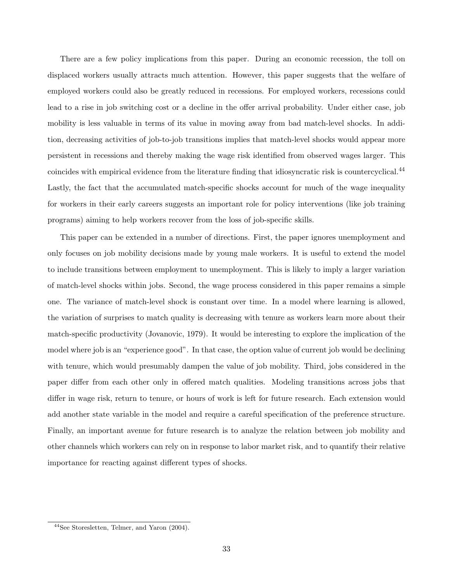There are a few policy implications from this paper. During an economic recession, the toll on displaced workers usually attracts much attention. However, this paper suggests that the welfare of employed workers could also be greatly reduced in recessions. For employed workers, recessions could lead to a rise in job switching cost or a decline in the offer arrival probability. Under either case, job mobility is less valuable in terms of its value in moving away from bad match-level shocks. In addition, decreasing activities of job-to-job transitions implies that match-level shocks would appear more persistent in recessions and thereby making the wage risk identified from observed wages larger. This coincides with empirical evidence from the literature finding that idiosyncratic risk is countercyclical.<sup>44</sup> Lastly, the fact that the accumulated match-specific shocks account for much of the wage inequality for workers in their early careers suggests an important role for policy interventions (like job training programs) aiming to help workers recover from the loss of job-specific skills.

This paper can be extended in a number of directions. First, the paper ignores unemployment and only focuses on job mobility decisions made by young male workers. It is useful to extend the model to include transitions between employment to unemployment. This is likely to imply a larger variation of match-level shocks within jobs. Second, the wage process considered in this paper remains a simple one. The variance of match-level shock is constant over time. In a model where learning is allowed, the variation of surprises to match quality is decreasing with tenure as workers learn more about their match-specific productivity (Jovanovic, 1979). It would be interesting to explore the implication of the model where job is an "experience good". In that case, the option value of current job would be declining with tenure, which would presumably dampen the value of job mobility. Third, jobs considered in the paper differ from each other only in offered match qualities. Modeling transitions across jobs that differ in wage risk, return to tenure, or hours of work is left for future research. Each extension would add another state variable in the model and require a careful specification of the preference structure. Finally, an important avenue for future research is to analyze the relation between job mobility and other channels which workers can rely on in response to labor market risk, and to quantify their relative importance for reacting against different types of shocks.

<sup>44</sup>See Storesletten, Telmer, and Yaron (2004).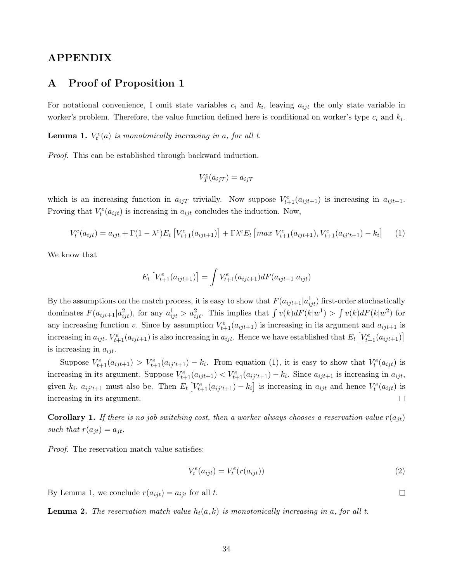# APPENDIX

### A Proof of Proposition 1

For notational convenience, I omit state variables  $c_i$  and  $k_i$ , leaving  $a_{ijt}$  the only state variable in worker's problem. Therefore, the value function defined here is conditional on worker's type  $c_i$  and  $k_i$ .

**Lemma 1.**  $V_t^e(a)$  is monotonically increasing in a, for all t.

Proof. This can be established through backward induction.

$$
V_T^e(a_{ijT}) = a_{ijT}
$$

which is an increasing function in  $a_{ijT}$  trivially. Now suppose  $V_{t+1}^e(a_{ijt+1})$  is increasing in  $a_{ijt+1}$ . Proving that  $V_t^e(a_{ijt})$  is increasing in  $a_{ijt}$  concludes the induction. Now,

$$
V_t^e(a_{ijt}) = a_{ijt} + \Gamma(1 - \lambda^e)E_t \left[ V_{t+1}^e(a_{ijt+1}) \right] + \Gamma \lambda^e E_t \left[ \max V_{t+1}^e(a_{ijt+1}), V_{t+1}^e(a_{ij't+1}) - k_i \right] \tag{1}
$$

We know that

$$
E_t \left[ V_{t+1}^e(a_{ijt+1}) \right] = \int V_{t+1}^e(a_{ijt+1}) dF(a_{ijt+1}|a_{ijt})
$$

By the assumptions on the match process, it is easy to show that  $F(a_{ijt+1} | a_{ijt}^1)$  first-order stochastically dominates  $F(a_{ijt+1}|a_{ijt}^2)$ , for any  $a_{ijt}^1 > a_{ijt}^2$ . This implies that  $\int v(k)dF(k|w^1) > \int v(k)dF(k|w^2)$  for any increasing function v. Since by assumption  $V_{t+1}^e(a_{ijt+1})$  is increasing in its argument and  $a_{ijt+1}$  is increasing in  $a_{ijt}$ ,  $V_{t+1}^e(a_{ijt+1})$  is also increasing in  $a_{ijt}$ . Hence we have established that  $E_t\left[V_{t+1}^e(a_{ijt+1})\right]$ is increasing in  $a_{ijt}$ .

Suppose  $V_{t+1}^e(a_{ijt+1}) > V_{t+1}^e(a_{ij't+1}) - k_i$ . From equation (1), it is easy to show that  $V_t^e(a_{ijt})$  is increasing in its argument. Suppose  $V_{t+1}^e(a_{ijt+1}) \lt V_{t+1}^e(a_{ij't+1}) - k_i$ . Since  $a_{ijt+1}$  is increasing in  $a_{ijt}$ , given  $k_i$ ,  $a_{ij't+1}$  must also be. Then  $E_t\left[V_{t+1}^e(a_{ij't+1}) - k_i\right]$  is increasing in  $a_{ijt}$  and hence  $V_t^e(a_{ijt})$  is increasing in its argument.  $\Box$ 

**Corollary 1.** If there is no job switching cost, then a worker always chooses a reservation value  $r(a_{it})$ such that  $r(a_{jt}) = a_{jt}$ .

Proof. The reservation match value satisfies:

$$
V_t^e(a_{ijt}) = V_t^e(r(a_{ijt}))
$$
\n
$$
(2)
$$

By Lemma 1, we conclude  $r(a_{ijt}) = a_{ijt}$  for all t.

**Lemma 2.** The reservation match value  $h_t(a, k)$  is monotonically increasing in a, for all t.

 $\Box$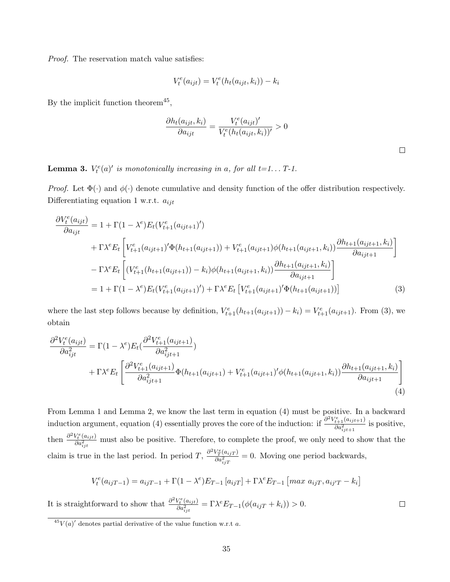Proof. The reservation match value satisfies:

$$
V_t^e(a_{ijt}) = V_t^e(h_t(a_{ijt}, k_i)) - k_i
$$

By the implicit function theorem<sup>45</sup>,

$$
\frac{\partial h_t(a_{ijt}, k_i)}{\partial a_{ijt}} = \frac{V_t^e(a_{ijt})'}{V_t^e(h_t(a_{ijt}, k_i))'} > 0
$$

 $\Box$ 

 $\Box$ 

**Lemma 3.**  $V_t^e(a)'$  is monotonically increasing in a, for all  $t=1...$   $T-1$ .

Proof. Let  $\Phi(\cdot)$  and  $\phi(\cdot)$  denote cumulative and density function of the offer distribution respectively. Differentiating equation 1 w.r.t.  $a_{ijt}$ 

$$
\frac{\partial V_t^e(a_{ijt})}{\partial a_{ijt}} = 1 + \Gamma(1 - \lambda^e) E_t(V_{t+1}^e(a_{ijt+1})')
$$
  
+  $\Gamma \lambda^e E_t \left[ V_{t+1}^e(a_{ijt+1})' \Phi(h_{t+1}(a_{ijt+1})) + V_{t+1}^e(a_{ijt+1}) \phi(h_{t+1}(a_{ijt+1}, k_i)) \frac{\partial h_{t+1}(a_{ijt+1}, k_i)}{\partial a_{ijt+1}} \right]$   
-  $\Gamma \lambda^e E_t \left[ (V_{t+1}^e(h_{t+1}(a_{ijt+1})) - k_i) \phi(h_{t+1}(a_{ijt+1}, k_i)) \frac{\partial h_{t+1}(a_{ijt+1}, k_i)}{\partial a_{ijt+1}} \right]$   
=  $1 + \Gamma(1 - \lambda^e) E_t(V_{t+1}^e(a_{ijt+1})') + \Gamma \lambda^e E_t \left[ V_{t+1}^e(a_{ijt+1})' \Phi(h_{t+1}(a_{ijt+1})) \right]$  (3)

where the last step follows because by definition,  $V_{t+1}^e(h_{t+1}(a_{ijt+1})) - k_i = V_{t+1}^e(a_{ijt+1})$ . From (3), we obtain

$$
\frac{\partial^2 V_t^e(a_{ijt})}{\partial a_{ijt}^2} = \Gamma(1 - \lambda^e) E_t(\frac{\partial^2 V_{t+1}^e(a_{ijt+1})}{\partial a_{ijt+1}^2}) \n+ \Gamma \lambda^e E_t \left[ \frac{\partial^2 V_{t+1}^e(a_{ijt+1})}{\partial a_{ijt+1}^2} \Phi(h_{t+1}(a_{ijt+1}) + V_{t+1}^e(a_{ijt+1})' \phi(h_{t+1}(a_{ijt+1}, k_i)) \frac{\partial h_{t+1}(a_{ijt+1}, k_i)}{\partial a_{ijt+1}} \right]
$$
\n(4)

From Lemma 1 and Lemma 2, we know the last term in equation (4) must be positive. In a backward induction argument, equation (4) essentially proves the core of the induction: if  $\frac{\partial^2 V_{t+1}^e(a_{ijt+1})}{\partial \alpha^2}$  $\frac{t+1}{\partial a_{ijt+1}^2}$  is positive, then  $\frac{\partial^2 V_t^e(a_{ijt})}{\partial a^2}$  $\frac{\partial v_t(u_{ijt})}{\partial a_{ijt}^2}$  must also be positive. Therefore, to complete the proof, we only need to show that the claim is true in the last period. In period  $T$ ,  $\frac{\partial^2 V_T^e(a_{ij}r)}{\partial a^2}$  $\frac{\partial \Phi_{T}(a_{ij}T)}{\partial a_{ij}^{2}T} = 0$ . Moving one period backwards,

$$
V_t^e(a_{ijT-1}) = a_{ijT-1} + \Gamma(1 - \lambda^e)E_{T-1}[a_{ijT}] + \Gamma \lambda^e E_{T-1}[max a_{ijT}, a_{ijT} - k_i]
$$

It is straightforward to show that  $\frac{\partial^2 V_t^e(a_{ijt})}{\partial a^2}$  $\frac{\partial V_t^e(a_{ijt})}{\partial a_{ijt}^2} = \Gamma \lambda^e E_{T-1}(\phi(a_{ijT} + k_i)) > 0.$ 

 $^{45}V(a)$ ' denotes partial derivative of the value function w.r.t a.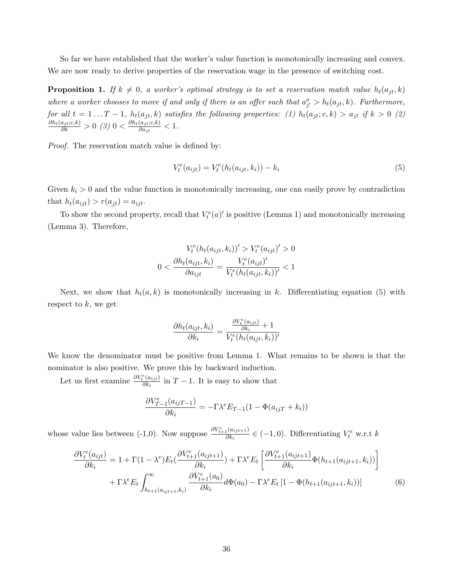So far we have established that the worker's value function is monotonically increasing and convex. We are now ready to derive properties of the reservation wage in the presence of switching cost.

**Proposition 1.** If  $k \neq 0$ , a worker's optimal strategy is to set a reservation match value  $h_t(a_{it}, k)$ where a worker chooses to move if and only if there is an offer such that  $a_{j'}^o > h_t(a_{jt}, k)$ . Furthermore, for all  $t = 1...T - 1$ ,  $h_t(a_{jt}, k)$  satisfies the following properties: (1)  $h_t(a_{jt}; c, k) > a_{jt}$  if  $k > 0$  (2)  $\frac{\partial h_t(a_{jt};c,k)}{\partial k} > 0$  (3)  $0 < \frac{\partial h_t(a_{jt};c,k)}{\partial a_{jt}}$  $\frac{(a_{jt},c,\kappa)}{\partial a_{jt}} < 1.$ 

Proof. The reservation match value is defined by:

$$
V_t^e(a_{ijt}) = V_t^e(h_t(a_{ijt}, k_i)) - k_i
$$
\n(5)

Given  $k_i > 0$  and the value function is monotonically increasing, one can easily prove by contradiction that  $h_t(a_{ijt}) > r(a_{jt}) = a_{ijt}$ .

To show the second property, recall that  $V_t^e(a)'$  is positive (Lemma 1) and monotonically increasing (Lemma 3). Therefore,

$$
V_t^e(h_t(a_{ijt}, k_i))' > V_t^e(a_{ijt})' > 0
$$
  

$$
0 < \frac{\partial h_t(a_{ijt}, k_i)}{\partial a_{ijt}} = \frac{V_t^e(a_{ijt})'}{V_t^e(h_t(a_{ijt}, k_i))'} < 1
$$

Next, we show that  $h_t(a, k)$  is monotonically increasing in k. Differentiating equation (5) with respect to  $k$ , we get

$$
\frac{\partial h_t(a_{ijt}, k_i)}{\partial k_i} = \frac{\frac{\partial V^e_t(a_{ijt})}{\partial k_i} + 1}{V^e_t(h_t(a_{ijt}, k_i))'}
$$

We know the denominator must be positive from Lemma 1. What remains to be shown is that the nominator is also positive. We prove this by backward induction.

Let us first examine  $\frac{\partial V_t^e(a_{ijt})}{\partial k}$  $\frac{\partial (a_{ijt})}{\partial k_i}$  in  $T-1$ . It is easy to show that

$$
\frac{\partial V_{T-1}^e(a_{ijT-1})}{\partial k_i} = -\Gamma \lambda^e E_{T-1} (1 - \Phi(a_{ijT} + k_i))
$$

whose value lies between (-1,0). Now suppose  $\frac{\partial V_{t+1}^e(a_{ijt+1})}{\partial k}$  $\frac{\partial h_i}{\partial k_i} \in (-1,0)$ . Differentiating  $V_t^e$  w.r.t k

$$
\frac{\partial V_t^e(a_{ijt})}{\partial k_i} = 1 + \Gamma(1 - \lambda^e) E_t(\frac{\partial V_{t+1}^e(a_{ijt+1})}{\partial k_i}) + \Gamma \lambda^e E_t \left[ \frac{\partial V_{t+1}^e(a_{ijt+1})}{\partial k_i} \Phi(h_{t+1}(a_{ijt+1}, k_i)) \right] + \Gamma \lambda^e E_t \int_{h_{t+1}(a_{ijt+1}, k_i)}^{\infty} \frac{\partial V_{t+1}^e(a_0)}{\partial k_i} d\Phi(a_0) - \Gamma \lambda^e E_t \left[ 1 - \Phi(h_{t+1}(a_{ijt+1}, k_i)) \right]
$$
(6)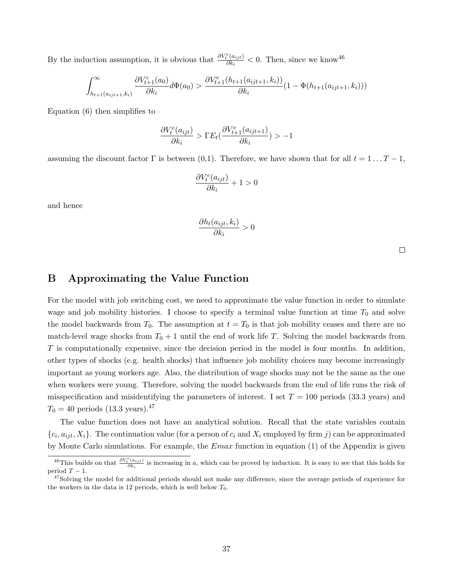By the induction assumption, it is obvious that  $\frac{\partial V_t^e(a_{ijt})}{\partial k_i}$  $\frac{\partial e(a_{ijt})}{\partial k_i} < 0$ . Then, since we know<sup>46</sup>

$$
\int_{h_{t+1}(a_{ijt+1},k_i)}^{\infty} \frac{\partial V_{t+1}^e(a_0)}{\partial k_i} d\Phi(a_0) > \frac{\partial V_{t+1}^e(h_{t+1}(a_{ijt+1},k_i))}{\partial k_i} (1 - \Phi(h_{t+1}(a_{ijt+1},k_i)))
$$

Equation (6) then simplifies to

$$
\frac{\partial V_t^e(a_{ijt})}{\partial k_i} > \Gamma E_t(\frac{\partial V_{t+1}^e(a_{ijt+1})}{\partial k_i}) > -1
$$

assuming the discount factor  $\Gamma$  is between (0,1). Therefore, we have shown that for all  $t = 1 \dots T - 1$ ,

$$
\frac{\partial V_t^e(a_{ijt})}{\partial k_i} + 1 > 0
$$

and hence

$$
\frac{\partial h_t(a_{ijt}, k_i)}{\partial k_i} > 0
$$

 $\Box$ 

# B Approximating the Value Function

For the model with job switching cost, we need to approximate the value function in order to simulate wage and job mobility histories. I choose to specify a terminal value function at time  $T_0$  and solve the model backwards from  $T_0$ . The assumption at  $t = T_0$  is that job mobility ceases and there are no match-level wage shocks from  $T_0 + 1$  until the end of work life T. Solving the model backwards from T is computationally expensive, since the decision period in the model is four months. In addition, other types of shocks (e.g. health shocks) that influence job mobility choices may become increasingly important as young workers age. Also, the distribution of wage shocks may not be the same as the one when workers were young. Therefore, solving the model backwards from the end of life runs the risk of misspecification and misidentifying the parameters of interest. I set  $T = 100$  periods (33.3 years) and  $T_0 = 40$  periods (13.3 years).<sup>47</sup>

The value function does not have an analytical solution. Recall that the state variables contain  $\{c_i, a_{ijt}, X_i\}$ . The continuation value (for a person of  $c_i$  and  $X_i$  employed by firm j) can be approximated by Monte Carlo simulations. For example, the  $Emax$  function in equation (1) of the Appendix is given

<sup>&</sup>lt;sup>46</sup>This builds on that  $\frac{\partial V_t^e(a_{ijt})}{\partial k}$  $\frac{(a_{i j t})}{\partial k_i}$  is increasing in a, which can be proved by induction. It is easy to see that this holds for period  $T - 1$ .

 $^{47}$ Solving the model for additional periods should not make any difference, since the average periods of experience for the workers in the data is 12 periods, which is well below  $T_0$ .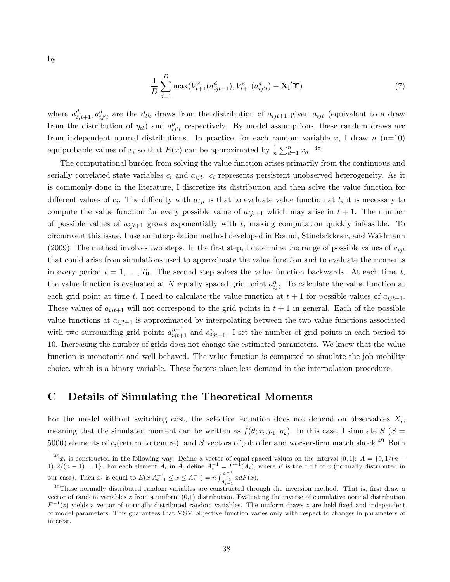by

$$
\frac{1}{D} \sum_{d=1}^{D} \max(V_{t+1}^e(a_{ijt+1}^d), V_{t+1}^e(a_{ij't}^d) - \mathbf{X_i}' \mathbf{\hat{T}})
$$
\n(7)

where  $a_{ijt+1}^d, a_{ij't}^d$  are the  $d_{th}$  draws from the distribution of  $a_{ijt+1}$  given  $a_{ijt}$  (equivalent to a draw from the distribution of  $\eta_{it}$ ) and  $a_{ij't}^o$  respectively. By model assumptions, these random draws are from independent normal distributions. In practice, for each random variable x, I draw  $n$  (n=10) equiprobable values of  $x_i$  so that  $E(x)$  can be approximated by  $\frac{1}{n} \sum_{d=1}^n x_d$ . <sup>48</sup>

The computational burden from solving the value function arises primarily from the continuous and serially correlated state variables  $c_i$  and  $a_{ijt}$ .  $c_i$  represents persistent unobserved heterogeneity. As it is commonly done in the literature, I discretize its distribution and then solve the value function for different values of  $c_i$ . The difficulty with  $a_{ijt}$  is that to evaluate value function at t, it is necessary to compute the value function for every possible value of  $a_{ijt+1}$  which may arise in  $t + 1$ . The number of possible values of  $a_{ijt+1}$  grows exponentially with t, making computation quickly infeasible. To circumvent this issue, I use an interpolation method developed in Bound, Stinebrickner, and Waidmann (2009). The method involves two steps. In the first step, I determine the range of possible values of  $a_{ijt}$ that could arise from simulations used to approximate the value function and to evaluate the moments in every period  $t = 1, \ldots, T_0$ . The second step solves the value function backwards. At each time t, the value function is evaluated at N equally spaced grid point  $a_{ijt}^n$ . To calculate the value function at each grid point at time t, I need to calculate the value function at  $t + 1$  for possible values of  $a_{ijt+1}$ . These values of  $a_{ijt+1}$  will not correspond to the grid points in  $t+1$  in general. Each of the possible value functions at  $a_{ijt+1}$  is approximated by interpolating between the two value functions associated with two surrounding grid points  $a_{ijt+1}^{n-1}$  and  $a_{ijt+1}^n$ . I set the number of grid points in each period to 10. Increasing the number of grids does not change the estimated parameters. We know that the value function is monotonic and well behaved. The value function is computed to simulate the job mobility choice, which is a binary variable. These factors place less demand in the interpolation procedure.

# C Details of Simulating the Theoretical Moments

For the model without switching cost, the selection equation does not depend on observables  $X_i$ , meaning that the simulated moment can be written as  $\hat{f}(\theta; \tau_i, p_1, p_2)$ . In this case, I simulate  $S(S =$ 5000) elements of  $c_i$ (return to tenure), and S vectors of job offer and worker-firm match shock.<sup>49</sup> Both

<sup>&</sup>lt;sup>48</sup> $x_i$  is constructed in the following way. Define a vector of equal spaced values on the interval [0, 1]:  $A = \{0, 1/(n - 1)\}$ 1),  $2/(n-1)...1$ . For each element  $A_i$  in  $A_i$ , define  $A_i^{-1} = F^{-1}(A_i)$ , where  $F$  is the c.d.f of  $x$  (normally distributed in our case). Then  $x_i$  is equal to  $E(x|A_{i-1}^{-1} \le x \le A_i^{-1}) = n \int_{A_{i-1}}^{A_i^{-1}} x dF(x)$ .

<sup>&</sup>lt;sup>49</sup>These normally distributed random variables are constructed through the inversion method. That is, first draw a vector of random variables  $z$  from a uniform  $(0,1)$  distribution. Evaluating the inverse of cumulative normal distribution  $F^{-1}(z)$  yields a vector of normally distributed random variables. The uniform draws z are held fixed and independent of model parameters. This guarantees that MSM objective function varies only with respect to changes in parameters of interest.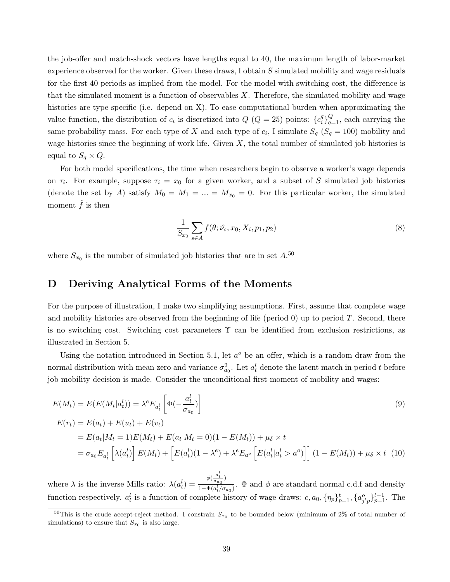the job-offer and match-shock vectors have lengths equal to 40, the maximum length of labor-market experience observed for the worker. Given these draws, I obtain S simulated mobility and wage residuals for the first 40 periods as implied from the model. For the model with switching cost, the difference is that the simulated moment is a function of observables  $X$ . Therefore, the simulated mobility and wage histories are type specific (i.e. depend on X). To ease computational burden when approximating the value function, the distribution of  $c_i$  is discretized into  $Q$  ( $Q = 25$ ) points:  $\{c_i^q\}$  ${}_{i}^{q}$ <sub> ${}_{q=1}^{Q}$ </sub>, each carrying the same probability mass. For each type of X and each type of  $c_i$ , I simulate  $S_q$  ( $S_q = 100$ ) mobility and wage histories since the beginning of work life. Given  $X$ , the total number of simulated job histories is equal to  $S_q \times Q$ .

For both model specifications, the time when researchers begin to observe a worker's wage depends on  $\tau_i$ . For example, suppose  $\tau_i = x_0$  for a given worker, and a subset of S simulated job histories (denote the set by A) satisfy  $M_0 = M_1 = ... = M_{x_0} = 0$ . For this particular worker, the simulated moment  $\hat{f}$  is then

$$
\frac{1}{S_{x_0}} \sum_{s \in A} f(\theta; \hat{\nu_s}, x_0, X_i, p_1, p_2)
$$
\n(8)

where  $S_{x_0}$  is the number of simulated job histories that are in set  $A^{50}$ 

### D Deriving Analytical Forms of the Moments

For the purpose of illustration, I make two simplifying assumptions. First, assume that complete wage and mobility histories are observed from the beginning of life (period  $0$ ) up to period  $T$ . Second, there is no switching cost. Switching cost parameters  $\Upsilon$  can be identified from exclusion restrictions, as illustrated in Section 5.

Using the notation introduced in Section 5.1, let  $a^o$  be an offer, which is a random draw from the normal distribution with mean zero and variance  $\sigma_{a_0}^2$ . Let  $a_t^l$  denote the latent match in period t before job mobility decision is made. Consider the unconditional first moment of mobility and wages:

$$
E(M_t) = E(E(M_t|a_t^l)) = \lambda^e E_{a_t^l} \left[ \Phi(-\frac{a_t^l}{\sigma_{a_0}}) \right]
$$
  

$$
E(r_t) = E(a_t) + E(u_t) + E(v_t)
$$
 (9)

$$
= E(a_t|M_t = 1)E(M_t) + E(a_t|M_t = 0)(1 - E(M_t)) + \mu_{\delta} \times t
$$
  
=  $\sigma_{a_0} E_{a_t^l} \left[ \lambda(a_t^l) \right] E(M_t) + \left[ E(a_t^l)(1 - \lambda^e) + \lambda^e E_{a^o} \left[ E(a_t^l|a_t^l > a^o) \right] \right] (1 - E(M_t)) + \mu_{\delta} \times t$  (10)

where  $\lambda$  is the inverse Mills ratio:  $\lambda(a_t^l) = \frac{\phi(\frac{a_t^l}{\sigma a_0})}{1-\Phi(a_t^l/\sigma a_t^l)}$  $\frac{(\sigma_{a_0})}{1-\Phi(a_t^l/\sigma_{a_0})}$ .  $\Phi$  and  $\phi$  are standard normal c.d.f and density function respectively.  $a_t^l$  is a function of complete history of wage draws:  $c, a_0, \{\eta_p\}_{p=1}^t, \{a_{j'p}^o\}_{p=1}^{t-1}$ . The

<sup>&</sup>lt;sup>50</sup>This is the crude accept-reject method. I constrain  $S_{x_0}$  to be bounded below (minimum of 2% of total number of simulations) to ensure that  $S_{x_0}$  is also large.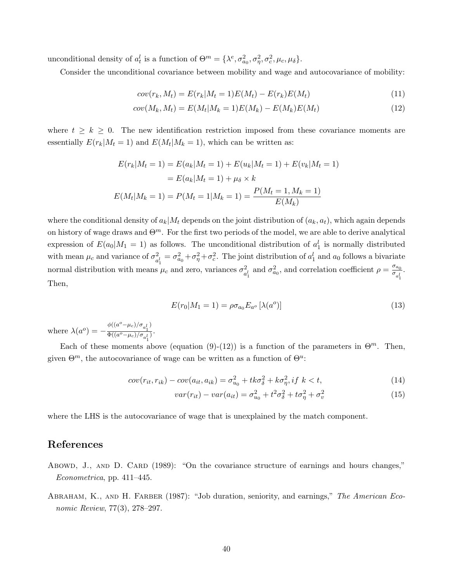unconditional density of  $a_t^l$  is a function of  $\Theta^m = {\lambda^e, \sigma_{a_0}^2, \sigma_{\eta}^2, \sigma_c^2, \mu_c, \mu_{\delta}}.$ 

Consider the unconditional covariance between mobility and wage and autocovariance of mobility:

$$
cov(r_k, M_t) = E(r_k|M_t = 1)E(M_t) - E(r_k)E(M_t)
$$
\n(11)

$$
cov(M_k, M_t) = E(M_t|M_k = 1)E(M_k) - E(M_k)E(M_t)
$$
\n(12)

where  $t \geq k \geq 0$ . The new identification restriction imposed from these covariance moments are essentially  $E(r_k|M_t = 1)$  and  $E(M_t|M_k = 1)$ , which can be written as:

$$
E(r_k|M_t = 1) = E(a_k|M_t = 1) + E(u_k|M_t = 1) + E(v_k|M_t = 1)
$$

$$
= E(a_k|M_t = 1) + \mu_\delta \times k
$$

$$
E(M_t|M_k = 1) = P(M_t = 1|M_k = 1) = \frac{P(M_t = 1, M_k = 1)}{E(M_k)}
$$

where the conditional density of  $a_k|M_t$  depends on the joint distribution of  $(a_k, a_t)$ , which again depends on history of wage draws and  $\Theta^m$ . For the first two periods of the model, we are able to derive analytical expression of  $E(a_0|M_1 = 1)$  as follows. The unconditional distribution of  $a_1^l$  is normally distributed with mean  $\mu_c$  and variance of  $\sigma_a^2$  $a_1^2 = \sigma_{a_0}^2 + \sigma_{\eta}^2 + \sigma_c^2$ . The joint distribution of  $a_1^l$  and  $a_0$  follows a bivariate normal distribution with means  $\mu_c$  and zero, variances  $\sigma_a^2$  $a_1^2$  and  $\sigma_{a_0}^2$ , and correlation coefficient  $\rho = \frac{\sigma_{a_0}}{\sigma_{a_1}}$  $\sigma_{a_1^l}$ . Then,

$$
E(r_0|M_1 = 1) = \rho \sigma_{a_0} E_{a_0} [\lambda(a^0)] \tag{13}
$$

where  $\lambda(a^o) = -\frac{\phi((a^o - \mu_c)/\sigma_{a_1}l)}{\Phi((a^o - \mu_c)/\sigma_{a_1})}$  $\frac{a_1^2}{\Phi((a^o-\mu_c)/\sigma_{a_1^l})}$ .

Each of these moments above (equation (9)-(12)) is a function of the parameters in  $\Theta^m$ . Then, given  $\Theta^m$ , the autocovariance of wage can be written as a function of  $\Theta^u$ :

$$
cov(r_{it}, r_{ik}) - cov(a_{it}, a_{ik}) = \sigma_{u_0}^2 + tk\sigma_{\delta}^2 + k\sigma_{\eta}^2, if \ k < t,
$$
\n
$$
(14)
$$

$$
var(r_{it}) - var(a_{it}) = \sigma_{u_0}^2 + t^2 \sigma_{\delta}^2 + t \sigma_{\eta}^2 + \sigma_v^2 \tag{15}
$$

where the LHS is the autocovariance of wage that is unexplained by the match component.

# References

- Abowd, J., AND D. CARD (1989): "On the covariance structure of earnings and hours changes," Econometrica, pp. 411–445.
- ABRAHAM, K., AND H. FARBER (1987): "Job duration, seniority, and earnings," The American Economic Review, 77(3), 278–297.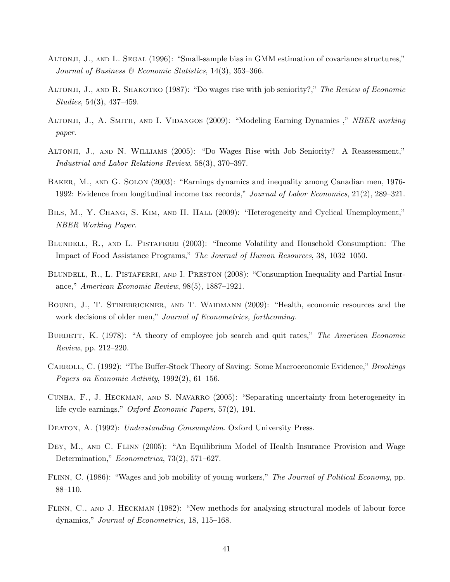- ALTONJI, J., AND L. SEGAL (1996): "Small-sample bias in GMM estimation of covariance structures," Journal of Business & Economic Statistics, 14(3), 353–366.
- ALTONJI, J., AND R. SHAKOTKO (1987): "Do wages rise with job seniority?," The Review of Economic Studies, 54(3), 437–459.
- ALTONJI, J., A. SMITH, AND I. VIDANGOS (2009): "Modeling Earning Dynamics," NBER working paper.
- Altonji, J., and N. Williams (2005): "Do Wages Rise with Job Seniority? A Reassessment," Industrial and Labor Relations Review, 58(3), 370–397.
- Baker, M., and G. Solon (2003): "Earnings dynamics and inequality among Canadian men, 1976- 1992: Evidence from longitudinal income tax records," Journal of Labor Economics, 21(2), 289–321.
- BILS, M., Y. CHANG, S. KIM, AND H. HALL (2009): "Heterogeneity and Cyclical Unemployment," NBER Working Paper.
- BLUNDELL, R., AND L. PISTAFERRI (2003): "Income Volatility and Household Consumption: The Impact of Food Assistance Programs," The Journal of Human Resources, 38, 1032–1050.
- BLUNDELL, R., L. PISTAFERRI, AND I. PRESTON (2008): "Consumption Inequality and Partial Insurance," American Economic Review, 98(5), 1887–1921.
- Bound, J., T. Stinebrickner, and T. Waidmann (2009): "Health, economic resources and the work decisions of older men," Journal of Econometrics, forthcoming.
- BURDETT, K. (1978): "A theory of employee job search and quit rates," The American Economic Review, pp. 212–220.
- CARROLL, C. (1992): "The Buffer-Stock Theory of Saving: Some Macroeconomic Evidence," *Brookings* Papers on Economic Activity, 1992(2), 61–156.
- Cunha, F., J. Heckman, and S. Navarro (2005): "Separating uncertainty from heterogeneity in life cycle earnings," Oxford Economic Papers, 57(2), 191.
- DEATON, A. (1992): Understanding Consumption. Oxford University Press.
- DEY, M., AND C. FLINN (2005): "An Equilibrium Model of Health Insurance Provision and Wage Determination," *Econometrica*, 73(2), 571–627.
- Flinn, C. (1986): "Wages and job mobility of young workers," The Journal of Political Economy, pp. 88–110.
- FLINN, C., AND J. HECKMAN (1982): "New methods for analysing structural models of labour force dynamics," Journal of Econometrics, 18, 115–168.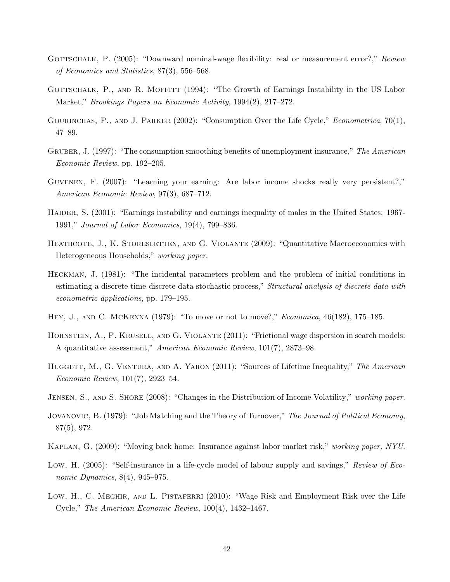- GOTTSCHALK, P. (2005): "Downward nominal-wage flexibility: real or measurement error?," Review of Economics and Statistics, 87(3), 556–568.
- GOTTSCHALK, P., AND R. MOFFITT (1994): "The Growth of Earnings Instability in the US Labor Market," Brookings Papers on Economic Activity, 1994(2), 217–272.
- GOURINCHAS, P., AND J. PARKER (2002): "Consumption Over the Life Cycle," *Econometrica*, 70(1), 47–89.
- GRUBER, J. (1997): "The consumption smoothing benefits of unemployment insurance," The American Economic Review, pp. 192–205.
- Guvenen, F. (2007): "Learning your earning: Are labor income shocks really very persistent?," American Economic Review, 97(3), 687–712.
- HAIDER, S. (2001): "Earnings instability and earnings inequality of males in the United States: 1967-1991," Journal of Labor Economics, 19(4), 799–836.
- HEATHCOTE, J., K. STORESLETTEN, AND G. VIOLANTE (2009): "Quantitative Macroeconomics with Heterogeneous Households," working paper.
- Heckman, J. (1981): "The incidental parameters problem and the problem of initial conditions in estimating a discrete time-discrete data stochastic process," Structural analysis of discrete data with econometric applications, pp. 179–195.
- Hey, J., and C. McKenna (1979): "To move or not to move?," Economica, 46(182), 175–185.
- HORNSTEIN, A., P. KRUSELL, AND G. VIOLANTE (2011): "Frictional wage dispersion in search models: A quantitative assessment," American Economic Review, 101(7), 2873–98.
- HUGGETT, M., G. VENTURA, AND A. YARON (2011): "Sources of Lifetime Inequality," The American Economic Review, 101(7), 2923–54.
- JENSEN, S., AND S. SHORE (2008): "Changes in the Distribution of Income Volatility," working paper.
- JOVANOVIC, B. (1979): "Job Matching and the Theory of Turnover," The Journal of Political Economy, 87(5), 972.
- Kaplan, G. (2009): "Moving back home: Insurance against labor market risk," working paper, NYU.
- Low, H. (2005): "Self-insurance in a life-cycle model of labour supply and savings," Review of Economic Dynamics, 8(4), 945–975.
- LOW, H., C. MEGHIR, AND L. PISTAFERRI (2010): "Wage Risk and Employment Risk over the Life Cycle," The American Economic Review, 100(4), 1432–1467.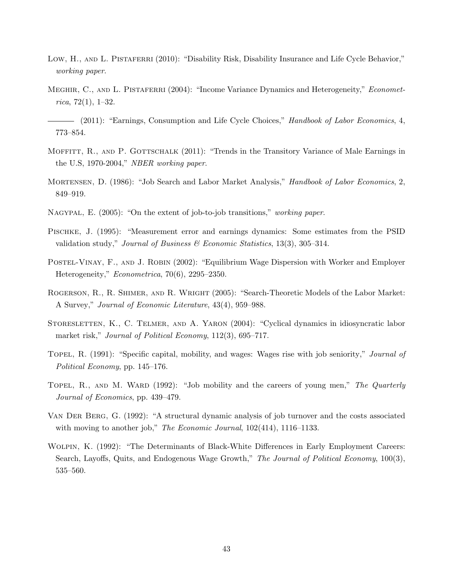- Low, H., AND L. PISTAFERRI (2010): "Disability Risk, Disability Insurance and Life Cycle Behavior," working paper.
- MEGHIR, C., AND L. PISTAFERRI (2004): "Income Variance Dynamics and Heterogeneity," *Economet*rica, 72 $(1)$ , 1–32.
- (2011): "Earnings, Consumption and Life Cycle Choices," Handbook of Labor Economics, 4, 773–854.
- MOFFITT, R., AND P. GOTTSCHALK (2011): "Trends in the Transitory Variance of Male Earnings in the U.S, 1970-2004," NBER working paper.
- MORTENSEN, D. (1986): "Job Search and Labor Market Analysis," *Handbook of Labor Economics*, 2, 849–919.
- NAGYPAL, E. (2005): "On the extent of job-to-job transitions," working paper.
- Pischke, J. (1995): "Measurement error and earnings dynamics: Some estimates from the PSID validation study," Journal of Business & Economic Statistics, 13(3), 305–314.
- POSTEL-VINAY, F., AND J. ROBIN (2002): "Equilibrium Wage Dispersion with Worker and Employer Heterogeneity," Econometrica, 70(6), 2295–2350.
- ROGERSON, R., R. SHIMER, AND R. WRIGHT (2005): "Search-Theoretic Models of the Labor Market: A Survey," Journal of Economic Literature, 43(4), 959–988.
- STORESLETTEN, K., C. TELMER, AND A. YARON (2004): "Cyclical dynamics in idiosyncratic labor market risk," Journal of Political Economy, 112(3), 695–717.
- TOPEL, R. (1991): "Specific capital, mobility, and wages: Wages rise with job seniority," Journal of Political Economy, pp. 145–176.
- TOPEL, R., AND M. WARD (1992): "Job mobility and the careers of young men," The Quarterly Journal of Economics, pp. 439–479.
- Van Der Berg, G. (1992): "A structural dynamic analysis of job turnover and the costs associated with moving to another job," The Economic Journal,  $102(414)$ ,  $1116-1133$ .
- Wolpin, K. (1992): "The Determinants of Black-White Differences in Early Employment Careers: Search, Layoffs, Quits, and Endogenous Wage Growth," The Journal of Political Economy, 100(3), 535–560.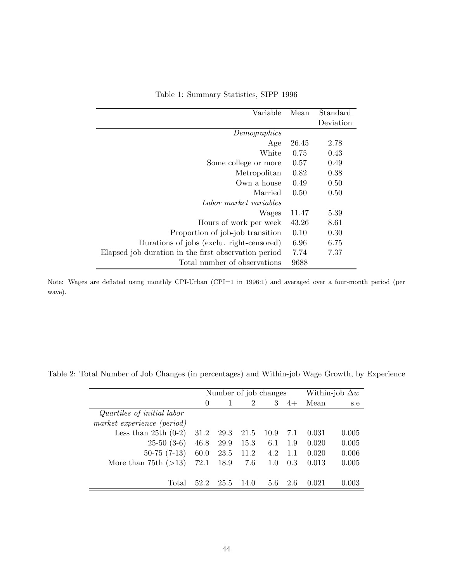| Variable                                             | Mean  | Standard  |
|------------------------------------------------------|-------|-----------|
|                                                      |       | Deviation |
| Demographics                                         |       |           |
| Age                                                  | 26.45 | 2.78      |
| White                                                | 0.75  | 0.43      |
| Some college or more                                 | 0.57  | 0.49      |
| Metropolitan                                         | 0.82  | 0.38      |
| Own a house                                          | 0.49  | 0.50      |
| Married                                              | 0.50  | 0.50      |
| Labor market variables                               |       |           |
| Wages                                                | 11.47 | 5.39      |
| Hours of work per week                               | 43.26 | 8.61      |
| Proportion of job-job transition                     | 0.10  | 0.30      |
| Durations of jobs (exclu. right-censored)            | 6.96  | 6.75      |
| Elapsed job duration in the first observation period | 7.74  | 7.37      |
| Total number of observations                         | 9688  |           |

Table 1: Summary Statistics, SIPP 1996

Note: Wages are deflated using monthly CPI-Urban (CPI=1 in 1996:1) and averaged over a four-month period (per wave).

|                            |          | Number of job changes | Within-job $\Delta w$ |      |      |       |       |
|----------------------------|----------|-----------------------|-----------------------|------|------|-------|-------|
|                            | $\Omega$ |                       | $\overline{2}$        | 3    | $4+$ | Mean  | s.e   |
| Quartiles of initial labor |          |                       |                       |      |      |       |       |
| market experience (period) |          |                       |                       |      |      |       |       |
| Less than $25th(0-2)$      | 31.2     | 29.3                  | 21.5                  | 10.9 | 7.1  | 0.031 | 0.005 |
| $25-50(3-6)$               | 46.8     | 29.9                  | 15.3                  | 6.1  | 1.9  | 0.020 | 0.005 |
| $50-75(7-13)$              | 60.0     | 23.5                  | 11.2                  | 4.2  | 1.1  | 0.020 | 0.006 |
| More than 75th $(>13)$     | 72.1     | 18.9                  | 7.6                   | 1.0  | 0.3  | 0.013 | 0.005 |
|                            |          |                       |                       |      |      |       |       |
| Total                      | 52.2     | 25.5                  | 14.0                  | 5.6  | 2.6  | 0.021 | 0.003 |

Table 2: Total Number of Job Changes (in percentages) and Within-job Wage Growth, by Experience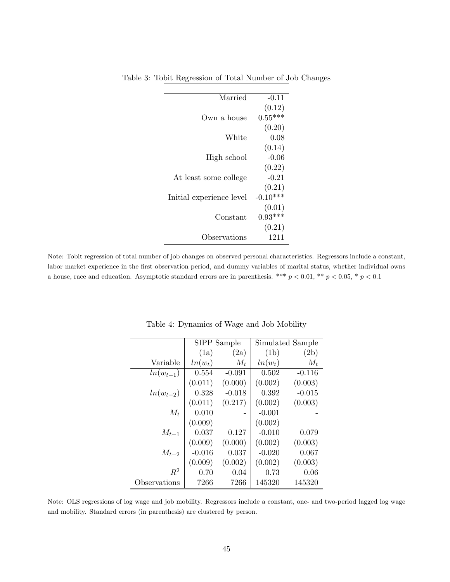| $-0.11$    |
|------------|
| (0.12)     |
| $0.55***$  |
| (0.20)     |
| 0.08       |
| (0.14)     |
| $-0.06$    |
| (0.22)     |
| $-0.21$    |
| (0.21)     |
| $-0.10***$ |
| (0.01)     |
| $0.93***$  |
| (0.21)     |
| 1211       |
|            |

Table 3: Tobit Regression of Total Number of Job Changes

Note: Tobit regression of total number of job changes on observed personal characteristics. Regressors include a constant, labor market experience in the first observation period, and dummy variables of marital status, whether individual owns a house, race and education. Asymptotic standard errors are in parenthesis. \*\*\*  $p < 0.01$ , \*\*  $p < 0.05$ , \*  $p < 0.1$ 

|               |           | SIPP Sample |           | Simulated Sample |
|---------------|-----------|-------------|-----------|------------------|
|               | (1a)      | (2a)        | (1b)      | (2b)             |
| Variable      | $ln(w_t)$ | $M_t$       | $ln(w_t)$ | $M_t$            |
| $ln(w_{t-1})$ | 0.554     | $-0.091$    | 0.502     | $-0.116$         |
|               | (0.011)   | (0.000)     | (0.002)   | (0.003)          |
| $ln(w_{t-2})$ | 0.328     | $-0.018$    | 0.392     | $-0.015$         |
|               | (0.011)   | (0.217)     | (0.002)   | (0.003)          |
| $M_t$         | 0.010     |             | $-0.001$  |                  |
|               | (0.009)   |             | (0.002)   |                  |
| $M_{t-1}$     | 0.037     | 0.127       | $-0.010$  | 0.079            |
|               | (0.009)   | (0.000)     | (0.002)   | (0.003)          |
| $M_{t-2}$     | $-0.016$  | 0.037       | $-0.020$  | 0.067            |
|               | (0.009)   | (0.002)     | (0.002)   | (0.003)          |
| $R^2$         | 0.70      | 0.04        | 0.73      | 0.06             |
| Observations  | 7266      | 7266        | 145320    | 145320           |

Table 4: Dynamics of Wage and Job Mobility

Note: OLS regressions of log wage and job mobility. Regressors include a constant, one- and two-period lagged log wage and mobility. Standard errors (in parenthesis) are clustered by person.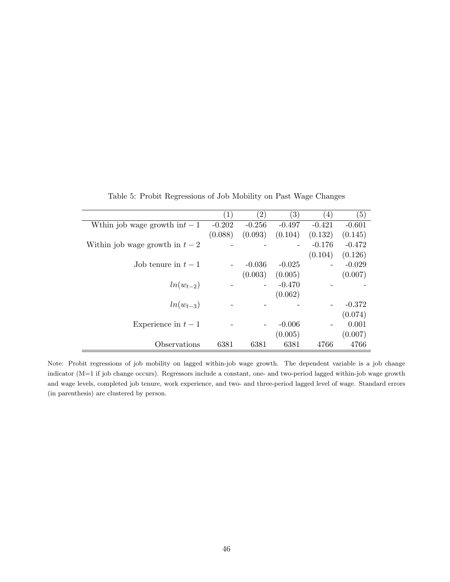|                                  | $\left( 1\right)$        | $\left( 2\right)$ | $\left( 3\right)$ | $\left(4\right)$ | (5)      |
|----------------------------------|--------------------------|-------------------|-------------------|------------------|----------|
| We thin job wage growth in $t-1$ | $-0.202$                 | $-0.256$          | $-0.497$          | $-0.421$         | $-0.601$ |
|                                  | (0.088)                  | (0.093)           | (0.104)           | (0.132)          | (0.145)  |
| Within job wage growth in $t-2$  |                          |                   |                   | $-0.176$         | $-0.472$ |
|                                  |                          |                   |                   | (0.104)          | (0.126)  |
| Job tenure in $t-1$              | $\overline{\phantom{a}}$ | $-0.036$          | $-0.025$          |                  | $-0.029$ |
|                                  |                          | (0.003)           | (0.005)           |                  | (0.007)  |
| $ln(w_{t-2})$                    |                          |                   | $-0.470$          |                  |          |
|                                  |                          |                   | (0.062)           |                  |          |
| $ln(w_{t-3})$                    |                          |                   |                   |                  | $-0.372$ |
|                                  |                          |                   |                   |                  | (0.074)  |
| Experience in $t-1$              |                          |                   | $-0.006$          |                  | 0.001    |
|                                  |                          |                   | (0.005)           |                  | (0.007)  |
| Observations                     | 6381                     | 6381              | 6381              | 4766             | 4766     |

Table 5: Probit Regressions of Job Mobility on Past Wage Changes

Note: Probit regressions of job mobility on lagged within-job wage growth. The dependent variable is a job change indicator (M=1 if job change occurs). Regressors include a constant, one- and two-period lagged within-job wage growth and wage levels, completed job tenure, work experience, and two- and three-period lagged level of wage. Standard errors (in parenthesis) are clustered by person.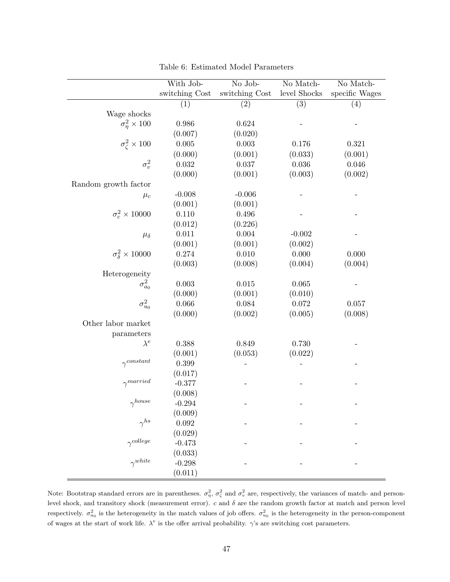|                                  | With Job-      | No Job-        | No Match-    | No Match-      |
|----------------------------------|----------------|----------------|--------------|----------------|
|                                  | switching Cost | switching Cost | level Shocks | specific Wages |
|                                  | (1)            | (2)            | (3)          | (4)            |
| Wage shocks                      |                |                |              |                |
| $\sigma_n^2 \times 100$          | 0.986          | 0.624          |              |                |
|                                  | (0.007)        | (0.020)        |              |                |
| $\sigma_{\zeta}^2 \times 100$    | $0.005\,$      | 0.003          | 0.176        | 0.321          |
|                                  | (0.000)        | (0.001)        | (0.033)      | (0.001)        |
| $\sigma_v^2$                     | 0.032          | $0.037\,$      | $0.036\,$    | $0.046\,$      |
|                                  | (0.000)        | (0.001)        | (0.003)      | (0.002)        |
| Random growth factor             |                |                |              |                |
| $\mu_c$                          | $-0.008$       | $-0.006$       |              |                |
|                                  | (0.001)        | (0.001)        |              |                |
| $\sigma_c^2 \times 10000$        | 0.110          | 0.496          |              |                |
|                                  | (0.012)        | (0.226)        |              |                |
| $\mu_{\delta}$                   | 0.011          | 0.004          | $-0.002$     |                |
|                                  | (0.001)        | (0.001)        | (0.002)      |                |
| $\sigma_{\delta}^2 \times 10000$ | 0.274          | 0.010          | 0.000        | 0.000          |
|                                  | (0.003)        | (0.008)        | (0.004)      | (0.004)        |
| Heterogeneity                    |                |                |              |                |
| $\sigma^2_{a_0}$                 | 0.003          | 0.015          | 0.065        |                |
|                                  | (0.000)        | (0.001)        | (0.010)      |                |
| $\sigma^2_{u_0}$                 | 0.066          | 0.084          | 0.072        | 0.057          |
|                                  | (0.000)        | (0.002)        | (0.005)      | (0.008)        |
| Other labor market               |                |                |              |                |
| parameters                       |                |                |              |                |
| $\lambda^e$                      | 0.388          | 0.849          | 0.730        |                |
|                                  | (0.001)        | (0.053)        | (0.022)      |                |
| $\gamma^{constant}$              | 0.399          |                |              |                |
|                                  | (0.017)        |                |              |                |
| $\gamma^{married}$               | $-0.377$       |                |              |                |
|                                  | (0.008)        |                |              |                |
| $\gamma^{house}$                 | $-0.294$       |                |              |                |
|                                  | (0.009)        |                |              |                |
| $\gamma^{hs}$                    | 0.092          |                |              |                |
|                                  | (0.029)        |                |              |                |
| $\gamma^{college}$               | $-0.473$       |                |              |                |
|                                  | (0.033)        |                |              |                |
| $\gamma^{white}$                 | $-0.298$       |                |              |                |
|                                  | (0.011)        |                |              |                |

Table 6: Estimated Model Parameters

Note: Bootstrap standard errors are in parentheses.  $\sigma_{\eta}^2$ ,  $\sigma_{\zeta}^2$  and  $\sigma_v^2$  are, respectively, the variances of match- and personlevel shock, and transitory shock (measurement error).  $c$  and  $\delta$  are the random growth factor at match and person level respectively.  $\sigma_{a_0}^2$  is the heterogeneity in the match values of job offers.  $\sigma_{u_0}^2$  is the heterogeneity in the person-component of wages at the start of work life.  $\lambda^e$  is the offer arrival probability.  $\gamma$ 's are switching cost parameters.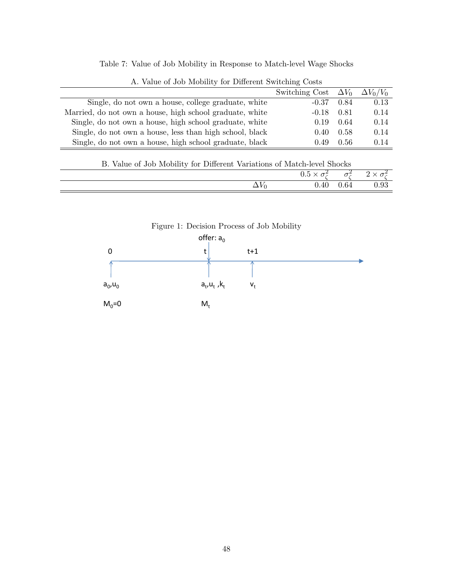Table 7: Value of Job Mobility in Response to Match-level Wage Shocks

|                                                          | Switching Cost $\Delta V_0$ $\Delta V_0/V_0$ |      |      |
|----------------------------------------------------------|----------------------------------------------|------|------|
| Single, do not own a house, college graduate, white      | $-0.37$                                      | 0.84 | 0.13 |
| Married, do not own a house, high school graduate, white | $-0.18$                                      | 0.81 | 0.14 |
| Single, do not own a house, high school graduate, white  | 0.19                                         | 0.64 | 0.14 |
| Single, do not own a house, less than high school, black | $0.40^{\circ}$                               | 0.58 | 0.14 |
| Single, do not own a house, high school graduate, black  | 0.49                                         | 0.56 | 0.14 |

|  |  |  |  |  | A. Value of Job Mobility for Different Switching Costs |  |
|--|--|--|--|--|--------------------------------------------------------|--|
|--|--|--|--|--|--------------------------------------------------------|--|

|  |  |  |  |  |  | B. Value of Job Mobility for Different Variations of Match-level Shocks |  |  |  |  |  |
|--|--|--|--|--|--|-------------------------------------------------------------------------|--|--|--|--|--|
|--|--|--|--|--|--|-------------------------------------------------------------------------|--|--|--|--|--|

| $\sim$ $\sim$<br>— | $0.40\,$ | 0.64 | 0.93 |
|--------------------|----------|------|------|

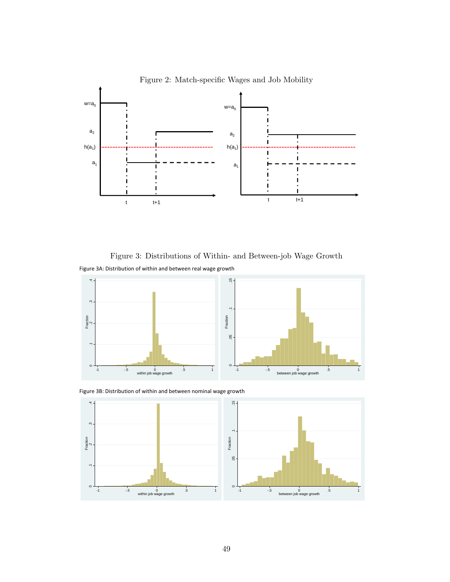

Figure 2: Match-specific Wages and Job Mobility

Figure 3: Distributions of Within- and Between-job Wage Growth Figure 3A: Distribution of within and between real wage growth



Figure 3B: Distribution of within and between nominal wage growth

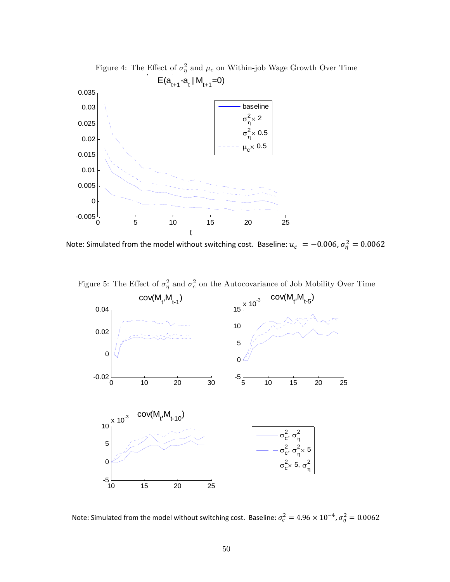

Note: Simulated from the model without switching cost. Baseline:  $u_c = -0.006$ ,  $\sigma_{\eta}^2 = 0.0062$ 

Figure 5: The Effect of  $\sigma_{\eta}^2$  and  $\sigma_c^2$  on the Autocovariance of Job Mobility Over Time



Note: Simulated from the model without switching cost. Baseline:  $\sigma_c^2 = 4.96 \times 10^{-4}$ ,  $\sigma_{\eta}^2 = 0.0062$